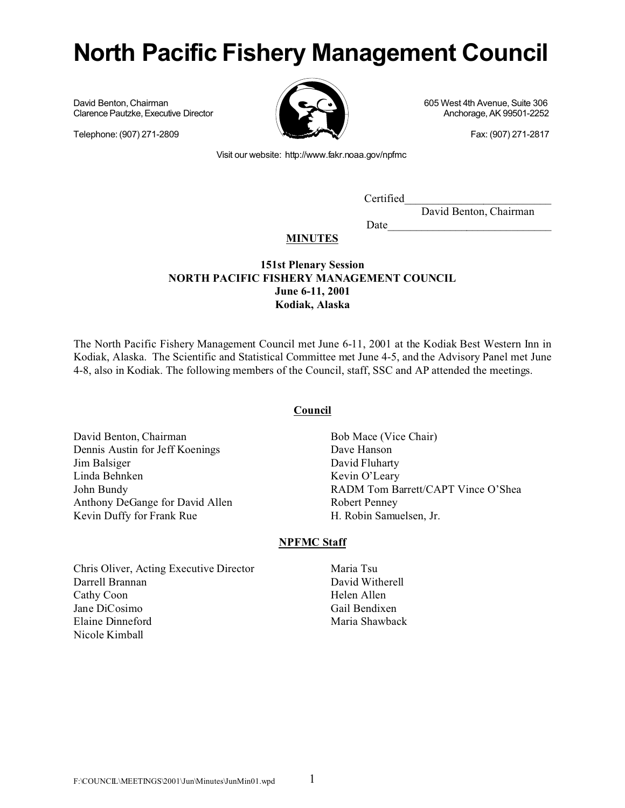# **North Pacific Fishery Management Council**

David Benton, Chairman 605 West 4th Avenue, Suite 306<br>Clarence Pautzke, Executive Director 605 West 4th Avenue, Suite 306 Clarence Pautzke, Executive Director

Telephone: (907) 271-2809 **Fax: (907) 271-2817** 



Visit our website: http://www.fakr.noaa.gov/npfmc

Certified\_\_\_\_\_\_\_\_\_\_\_\_\_\_\_\_\_\_\_\_\_\_\_\_\_\_

Date

David Benton, Chairman

# **MINUTES**

# **151st Plenary Session NORTH PACIFIC FISHERY MANAGEMENT COUNCIL June 6-11, 2001 Kodiak, Alaska**

The North Pacific Fishery Management Council met June 6-11, 2001 at the Kodiak Best Western Inn in Kodiak, Alaska. The Scientific and Statistical Committee met June 4-5, and the Advisory Panel met June 4-8, also in Kodiak. The following members of the Council, staff, SSC and AP attended the meetings.

# **Council**

David Benton, Chairman Dennis Austin for Jeff Koenings Jim Balsiger Linda Behnken John Bundy Anthony DeGange for David Allen Kevin Duffy for Frank Rue

Bob Mace (Vice Chair) Dave Hanson David Fluharty Kevin O'Leary RADM Tom Barrett/CAPT Vince O'Shea Robert Penney H. Robin Samuelsen, Jr.

# **NPFMC Staff**

Chris Oliver, Acting Executive Director Darrell Brannan Cathy Coon Jane DiCosimo Elaine Dinneford Nicole Kimball

Maria Tsu David Witherell Helen Allen Gail Bendixen Maria Shawback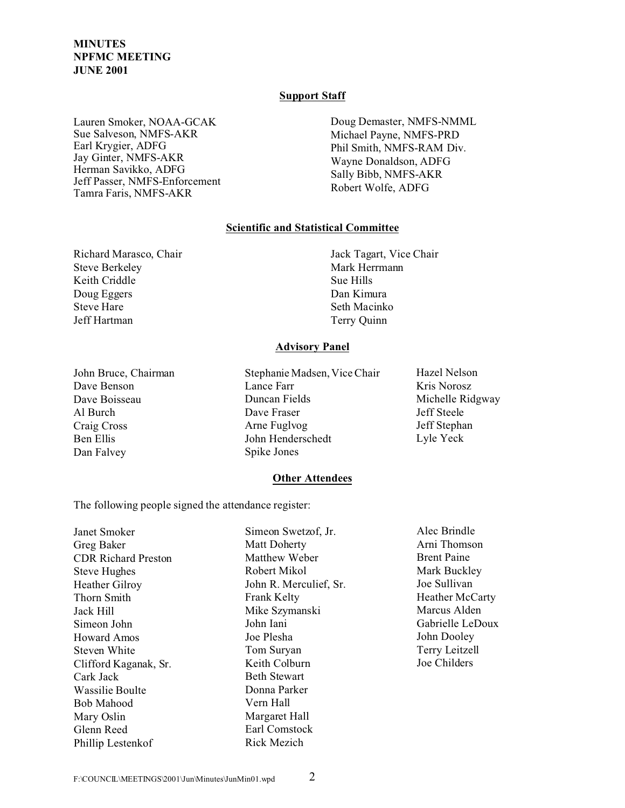## **Support Staff**

Lauren Smoker, NOAA-GCAK Sue Salveson, NMFS-AKR Earl Krygier, ADFG Jay Ginter, NMFS-AKR Herman Savikko, ADFG Jeff Passer, NMFS-Enforcement Tamra Faris, NMFS-AKR

Doug Demaster, NMFS-NMML Michael Payne, NMFS-PRD Phil Smith, NMFS-RAM Div. Wayne Donaldson, ADFG Sally Bibb, NMFS-AKR Robert Wolfe, ADFG

# **Scientific and Statistical Committee**

Richard Marasco, Chair Steve Berkeley Keith Criddle Doug Eggers Steve Hare Jeff Hartman

Jack Tagart, Vice Chair Mark Herrmann Sue Hills Dan Kimura Seth Macinko Terry Quinn

## **Advisory Panel**

John Bruce, Chairman Dave Benson Dave Boisseau Al Burch Craig Cross Ben Ellis Dan Falvey

Stephanie Madsen, Vice Chair Lance Farr Duncan Fields Dave Fraser Arne Fuglvog John Henderschedt Spike Jones

Hazel Nelson Kris Norosz Michelle Ridgway Jeff Steele Jeff Stephan Lyle Yeck

## **Other Attendees**

The following people signed the attendance register:

| Janet Smoker               | Simeon Swetzof, Jr.    | Alec Brindle       |
|----------------------------|------------------------|--------------------|
| Greg Baker                 | <b>Matt Doherty</b>    | Arni Thomson       |
| <b>CDR Richard Preston</b> | Matthew Weber          | <b>Brent Paine</b> |
| <b>Steve Hughes</b>        | Robert Mikol           | Mark Buckley       |
| <b>Heather Gilroy</b>      | John R. Merculief, Sr. | Joe Sullivan       |
| Thorn Smith                | <b>Frank Kelty</b>     | Heather McCarty    |
| Jack Hill                  | Mike Szymanski         | Marcus Alden       |
| Simeon John                | John Iani              | Gabrielle LeDoux   |
| Howard Amos                | Joe Plesha             | John Dooley        |
| Steven White               | Tom Suryan             | Terry Leitzell     |
| Clifford Kaganak, Sr.      | Keith Colburn          | Joe Childers       |
| Cark Jack                  | <b>Beth Stewart</b>    |                    |
| Wassilie Boulte            | Donna Parker           |                    |
| Bob Mahood                 | Vern Hall              |                    |
| Mary Oslin                 | Margaret Hall          |                    |
| Glenn Reed                 | Earl Comstock          |                    |
| Phillip Lestenkof          | Rick Mezich            |                    |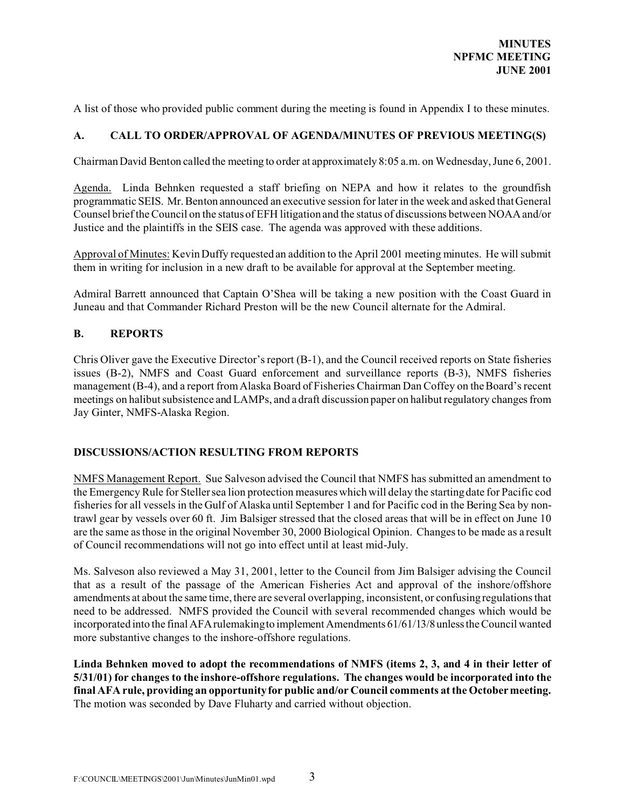A list of those who provided public comment during the meeting is found in Appendix I to these minutes.

# **A. CALL TO ORDER/APPROVAL OF AGENDA/MINUTES OF PREVIOUS MEETING(S)**

Chairman David Benton called the meeting to order at approximately 8:05 a.m. on Wednesday, June 6, 2001.

Agenda. Linda Behnken requested a staff briefing on NEPA and how it relates to the groundfish programmatic SEIS. Mr. Benton announced an executive session for later in the week and asked that General Counsel brief the Council on the status of EFH litigation and the status of discussions between NOAA and/or Justice and the plaintiffs in the SEIS case. The agenda was approved with these additions.

Approval of Minutes: Kevin Duffy requested an addition to the April 2001 meeting minutes. He will submit them in writing for inclusion in a new draft to be available for approval at the September meeting.

Admiral Barrett announced that Captain O'Shea will be taking a new position with the Coast Guard in Juneau and that Commander Richard Preston will be the new Council alternate for the Admiral.

# **B. REPORTS**

Chris Oliver gave the Executive Director's report (B-1), and the Council received reports on State fisheries issues (B-2), NMFS and Coast Guard enforcement and surveillance reports (B-3), NMFS fisheries management (B-4), and a report from Alaska Board of Fisheries Chairman Dan Coffey on the Board's recent meetings on halibut subsistence and LAMPs, and a draft discussion paper on halibut regulatory changes from Jay Ginter, NMFS-Alaska Region.

# **DISCUSSIONS/ACTION RESULTING FROM REPORTS**

NMFS Management Report. Sue Salveson advised the Council that NMFS has submitted an amendment to the Emergency Rule for Steller sea lion protection measures which will delay the starting date for Pacific cod fisheries for all vessels in the Gulf of Alaska until September 1 and for Pacific cod in the Bering Sea by nontrawl gear by vessels over 60 ft. Jim Balsiger stressed that the closed areas that will be in effect on June 10 are the same as those in the original November 30, 2000 Biological Opinion. Changes to be made as a result of Council recommendations will not go into effect until at least mid-July.

Ms. Salveson also reviewed a May 31, 2001, letter to the Council from Jim Balsiger advising the Council that as a result of the passage of the American Fisheries Act and approval of the inshore/offshore amendments at about the same time, there are several overlapping, inconsistent, or confusing regulations that need to be addressed. NMFS provided the Council with several recommended changes which would be incorporated into the final AFA rulemaking to implement Amendments 61/61/13/8 unless the Council wanted more substantive changes to the inshore-offshore regulations.

**Linda Behnken moved to adopt the recommendations of NMFS (items 2, 3, and 4 in their letter of 5/31/01) for changes to the inshore-offshore regulations. The changes would be incorporated into the final AFA rule, providing an opportunity for public and/or Council comments at the October meeting.** The motion was seconded by Dave Fluharty and carried without objection.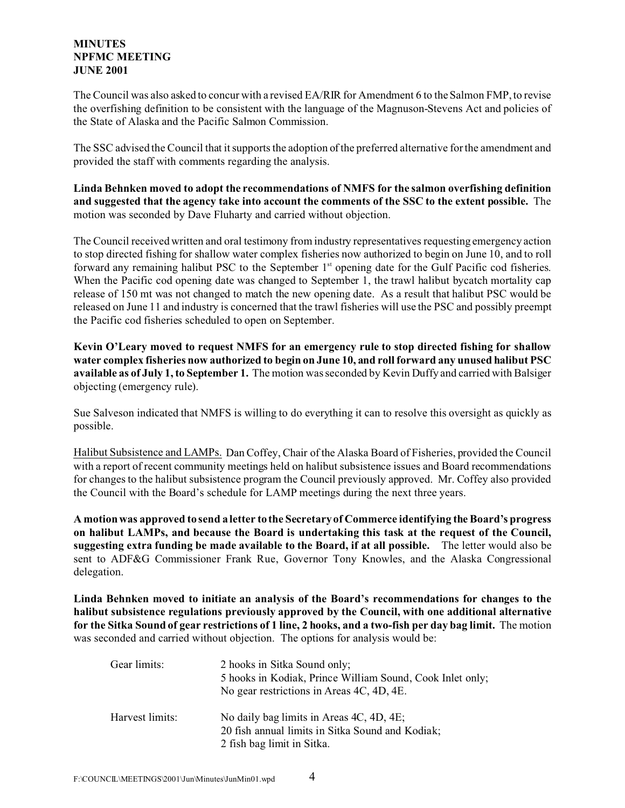The Council was also asked to concur with a revised EA/RIR for Amendment 6 to the Salmon FMP, to revise the overfishing definition to be consistent with the language of the Magnuson-Stevens Act and policies of the State of Alaska and the Pacific Salmon Commission.

The SSC advised the Council that it supports the adoption of the preferred alternative for the amendment and provided the staff with comments regarding the analysis.

**Linda Behnken moved to adopt the recommendations of NMFS for the salmon overfishing definition and suggested that the agency take into account the comments of the SSC to the extent possible.** The motion was seconded by Dave Fluharty and carried without objection.

The Council received written and oral testimony from industry representatives requesting emergency action to stop directed fishing for shallow water complex fisheries now authorized to begin on June 10, and to roll forward any remaining halibut PSC to the September 1<sup>st</sup> opening date for the Gulf Pacific cod fisheries. When the Pacific cod opening date was changed to September 1, the trawl halibut bycatch mortality cap release of 150 mt was not changed to match the new opening date. As a result that halibut PSC would be released on June 11 and industry is concerned that the trawl fisheries will use the PSC and possibly preempt the Pacific cod fisheries scheduled to open on September.

**Kevin O'Leary moved to request NMFS for an emergency rule to stop directed fishing for shallow water complex fisheries now authorized to begin on June 10, and roll forward any unused halibut PSC available as of July 1, to September 1.** The motion was seconded by Kevin Duffy and carried with Balsiger objecting (emergency rule).

Sue Salveson indicated that NMFS is willing to do everything it can to resolve this oversight as quickly as possible.

Halibut Subsistence and LAMPs. Dan Coffey, Chair of the Alaska Board of Fisheries, provided the Council with a report of recent community meetings held on halibut subsistence issues and Board recommendations for changes to the halibut subsistence program the Council previously approved. Mr. Coffey also provided the Council with the Board's schedule for LAMP meetings during the next three years.

**A motion was approved to send a letter to the Secretary of Commerce identifying the Board's progress on halibut LAMPs, and because the Board is undertaking this task at the request of the Council, suggesting extra funding be made available to the Board, if at all possible.** The letter would also be sent to ADF&G Commissioner Frank Rue, Governor Tony Knowles, and the Alaska Congressional delegation.

**Linda Behnken moved to initiate an analysis of the Board's recommendations for changes to the halibut subsistence regulations previously approved by the Council, with one additional alternative for the Sitka Sound of gear restrictions of 1 line, 2 hooks, and a two-fish per day bag limit.** The motion was seconded and carried without objection. The options for analysis would be:

| Gear limits:    | 2 hooks in Sitka Sound only;<br>5 hooks in Kodiak, Prince William Sound, Cook Inlet only;<br>No gear restrictions in Areas 4C, 4D, 4E. |
|-----------------|----------------------------------------------------------------------------------------------------------------------------------------|
| Harvest limits: | No daily bag limits in Areas 4C, 4D, 4E;<br>20 fish annual limits in Sitka Sound and Kodiak;<br>2 fish bag limit in Sitka.             |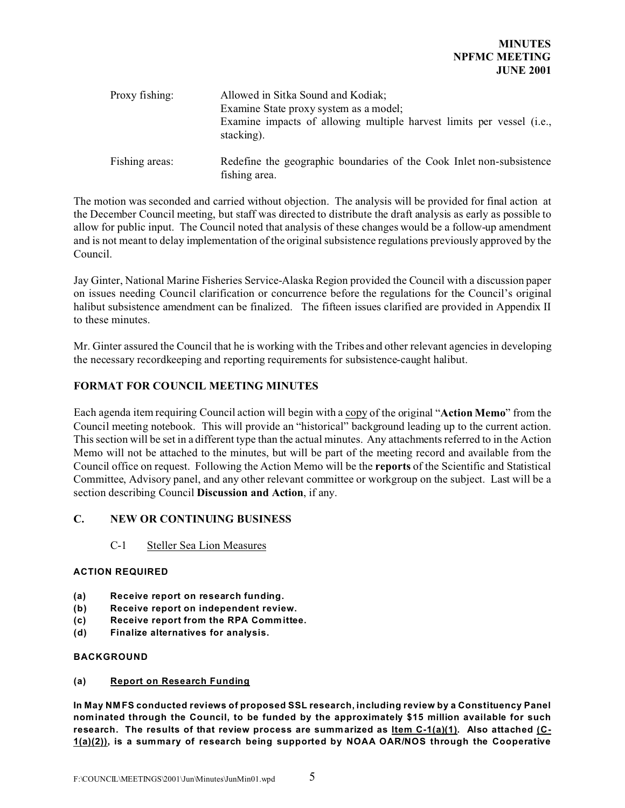| Proxy fishing: | Allowed in Sitka Sound and Kodiak;<br>Examine State proxy system as a model;        |
|----------------|-------------------------------------------------------------------------------------|
|                | Examine impacts of allowing multiple harvest limits per vessel (i.e.,<br>stacking). |
| Fishing areas: | Redefine the geographic boundaries of the Cook Inlet non-subsistence                |

The motion was seconded and carried without objection. The analysis will be provided for final action at the December Council meeting, but staff was directed to distribute the draft analysis as early as possible to allow for public input. The Council noted that analysis of these changes would be a follow-up amendment and is not meant to delay implementation of the original subsistence regulations previously approved by the Council.

fishing area.

Jay Ginter, National Marine Fisheries Service-Alaska Region provided the Council with a discussion paper on issues needing Council clarification or concurrence before the regulations for the Council's original halibut subsistence amendment can be finalized. The fifteen issues clarified are provided in Appendix II to these minutes.

Mr. Ginter assured the Council that he is working with the Tribes and other relevant agencies in developing the necessary recordkeeping and reporting requirements for subsistence-caught halibut.

# **FORMAT FOR COUNCIL MEETING MINUTES**

Each agenda item requiring Council action will begin with a copy of the original "**Action Memo**" from the Council meeting notebook. This will provide an "historical" background leading up to the current action. This section will be set in a different type than the actual minutes. Any attachments referred to in the Action Memo will not be attached to the minutes, but will be part of the meeting record and available from the Council office on request. Following the Action Memo will be the **reports** of the Scientific and Statistical Committee, Advisory panel, and any other relevant committee or workgroup on the subject. Last will be a section describing Council **Discussion and Action**, if any.

# **C. NEW OR CONTINUING BUSINESS**

C-1 Steller Sea Lion Measures

# **ACTION REQUIRED**

- **(a) Receive report on research funding.**
- **(b) Receive report on independent review.**
- **(c) Receive report from the RPA Committee.**
- **(d) Finalize alternatives for analysis.**

## **BACKGROUND**

## **(a) Report on Research Funding**

**In May NM FS conducted reviews of proposed SSL research, including review by a Constituency Panel nominated through the Council, to be funded by the approximately \$15 million available for such research. The results of that review process are summarized as Item C-1(a)(1). Also attached (C-1(a)(2)), is a summary of research being supported by NOAA OAR/NOS through the Cooperative**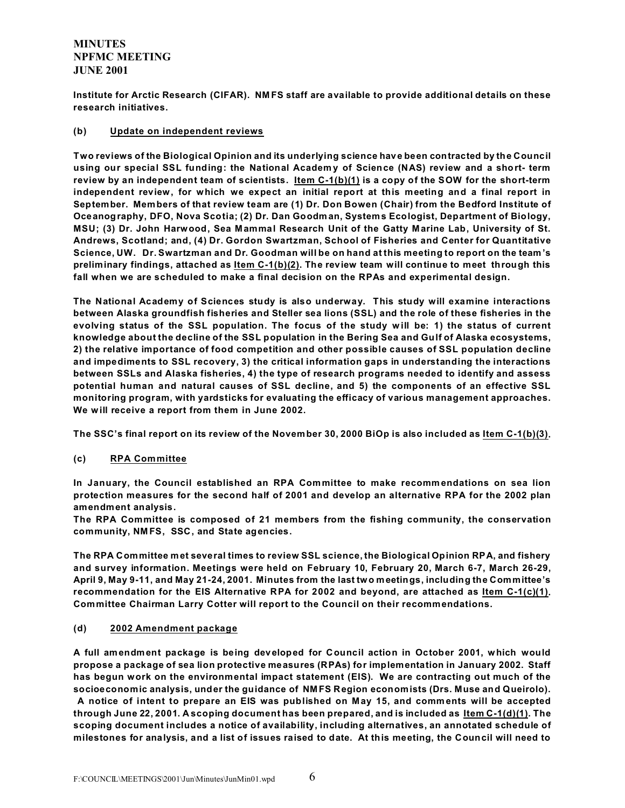**Institute for Arctic Research (CIFAR). NM FS staff are available to provide additional details on these research initiatives.**

## **(b) Update on independent reviews**

**Two reviews of the Biological Opinion and its underlying science have been contracted by the Council using our special SSL funding: the National Academ y of Science (NAS) review and a short- term review by an independent team of scientists. Item C-1(b)(1) is a copy of the SOW for the short-term independent review, for which we expect an initial report at this meeting and a final report in September. Members of that review team are (1) Dr. Don Bowen (Chair) from the Bedford Institute of Oceanography, DFO, Nova Scotia; (2) Dr. Dan Goodman, Systems Ecologist, Department of Biology, MSU; (3) Dr. John Harwood, Sea Mammal Research Unit of the Gatty M arine Lab, University of St. Andrews, Scotland; and, (4) Dr. Gordon Swartzman, School of Fisheries and Center for Quantitative Science, UW. Dr. Swartzman and Dr. Goodman will be on hand at this meeting to report on the team's preliminary findings, attached as Item C-1(b)(2). The review team will continue to meet through this fall when we are scheduled to make a final decision on the RPAs and experimental design.**

**The National Academy of Sciences study is also underway. This study will examine interactions between Alaska groundfish fisheries and Steller sea lions (SSL) and the role of these fisheries in the evolving status of the SSL population. The focus of the study will be: 1) the status of current knowledge about the decline of the SSL population in the Bering Sea and Gulf of Alaska ecosystems, 2) the relative importance of food competition and other possible causes of SSL population decline and impediments to SSL recovery, 3) the critical information gaps in understanding the interactions between SSLs and Alaska fisheries, 4) the type of research programs needed to identify and assess potential human and natural causes of SSL decline, and 5) the components of an effective SSL monitoring program, with yardsticks for evaluating the efficacy of various management approaches. We will receive a report from them in June 2002.**

The SSC's final report on its review of the November 30, 2000 BiOp is also included as ltem C-1(b)(3).

# **(c) RPA Committee**

**In January, the Council established an RPA Committee to make recommendations on sea lion protection measures for the second half of 2001 and develop an alternative RPA for the 2002 plan amendment analysis.** 

**The RPA Committee is composed of 21 members from the fishing community, the conservation community, NM FS, SSC, and State agencies.** 

**The RPA Committee met several times to review SSL science, the Biological Opinion RPA, and fishery and survey information. Meetings were held on February 10, February 20, March 6-7, March 26-29, April 9, May 9-11, and May 21-24, 2001. Minutes from the last two meetings, including the Committee's recommendation for the EIS Alternative RPA for 2002 and beyond, are attached as Item C-1(c)(1). Committee Chairman Larry Cotter will report to the Council on their recommendations.**

## **(d) 2002 Amendment package**

**A full amendment package is being developed for Council action in October 2001, which would propose a package of sea lion protective measures (RPAs) for implementation in January 2002. Staff has begun work on the environmental impact statement (EIS). We are contracting out much of the socioeconomic analysis, under the guidance of NM FS Region economists (Drs. Muse and Queirolo). A notice of intent to prepare an EIS was published on May 15, and comments will be accepted through June 22, 2001. A scoping document has been prepared, and is included as Item C-1(d)(1). The scoping document includes a notice of availability, including alternatives, an annotated schedule of milestones for analysis, and a list of issues raised to date. At this meeting, the Council will need to**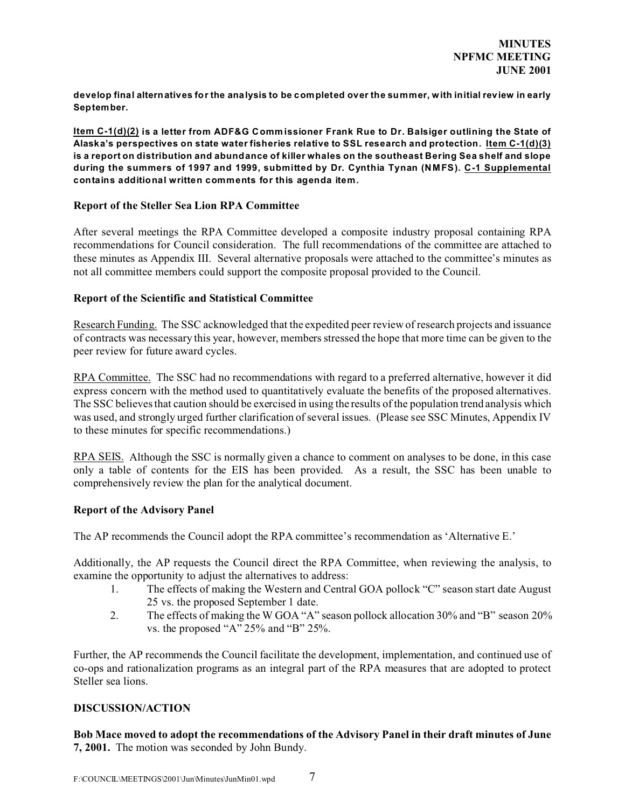**develop final alternatives for the analysis to be completed over the summer, with initial review in early September.**

**Item C-1(d)(2) is a letter from ADF&G Commissioner Frank Rue to Dr. Balsiger outlining the State of Alaska's perspectives on state water fisheries relative to SSL research and protection. Item C-1(d)(3) is a report on distribution and abundance of killer whales on the southeast Bering Sea shelf and slope during the summers of 1997 and 1999, submitted by Dr. Cynthia Tynan (NMFS). C-1 Supplemental contains additional written comments for this agenda item.**

## **Report of the Steller Sea Lion RPA Committee**

After several meetings the RPA Committee developed a composite industry proposal containing RPA recommendations for Council consideration. The full recommendations of the committee are attached to these minutes as Appendix III. Several alternative proposals were attached to the committee's minutes as not all committee members could support the composite proposal provided to the Council.

## **Report of the Scientific and Statistical Committee**

Research Funding. The SSC acknowledged that the expedited peer review of research projects and issuance of contracts was necessary this year, however, members stressed the hope that more time can be given to the peer review for future award cycles.

RPA Committee. The SSC had no recommendations with regard to a preferred alternative, however it did express concern with the method used to quantitatively evaluate the benefits of the proposed alternatives. The SSC believes that caution should be exercised in using the results of the population trend analysis which was used, and strongly urged further clarification of several issues. (Please see SSC Minutes, Appendix IV to these minutes for specific recommendations.)

RPA SEIS. Although the SSC is normally given a chance to comment on analyses to be done, in this case only a table of contents for the EIS has been provided. As a result, the SSC has been unable to comprehensively review the plan for the analytical document.

# **Report of the Advisory Panel**

The AP recommends the Council adopt the RPA committee's recommendation as 'Alternative E.'

Additionally, the AP requests the Council direct the RPA Committee, when reviewing the analysis, to examine the opportunity to adjust the alternatives to address:

- 1. The effects of making the Western and Central GOA pollock "C" season start date August 25 vs. the proposed September 1 date.
- 2. The effects of making the W GOA "A" season pollock allocation 30% and "B" season 20% vs. the proposed "A" 25% and "B" 25%.

Further, the AP recommends the Council facilitate the development, implementation, and continued use of co-ops and rationalization programs as an integral part of the RPA measures that are adopted to protect Steller sea lions.

# **DISCUSSION/ACTION**

**Bob Mace moved to adopt the recommendations of the Advisory Panel in their draft minutes of June 7, 2001.** The motion was seconded by John Bundy.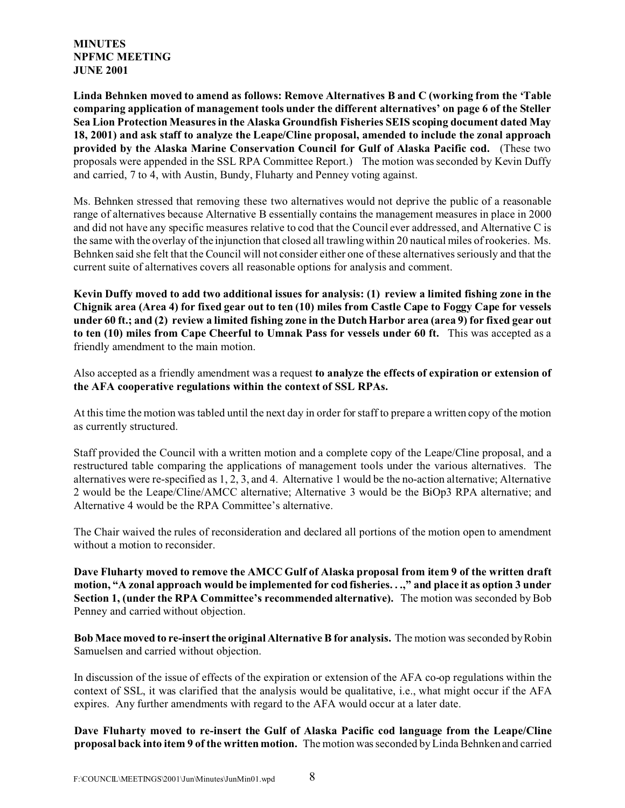**Linda Behnken moved to amend as follows: Remove Alternatives B and C (working from the 'Table comparing application of management tools under the different alternatives' on page 6 of the Steller Sea Lion Protection Measures in the Alaska Groundfish Fisheries SEIS scoping document dated May 18, 2001) and ask staff to analyze the Leape/Cline proposal, amended to include the zonal approach provided by the Alaska Marine Conservation Council for Gulf of Alaska Pacific cod.** (These two proposals were appended in the SSL RPA Committee Report.) The motion was seconded by Kevin Duffy and carried, 7 to 4, with Austin, Bundy, Fluharty and Penney voting against.

Ms. Behnken stressed that removing these two alternatives would not deprive the public of a reasonable range of alternatives because Alternative B essentially contains the management measures in place in 2000 and did not have any specific measures relative to cod that the Council ever addressed, and Alternative C is the same with the overlay of the injunction that closed all trawling within 20 nautical miles of rookeries. Ms. Behnken said she felt that the Council will not consider either one of these alternatives seriously and that the current suite of alternatives covers all reasonable options for analysis and comment.

**Kevin Duffy moved to add two additional issues for analysis: (1) review a limited fishing zone in the Chignik area (Area 4) for fixed gear out to ten (10) miles from Castle Cape to Foggy Cape for vessels under 60 ft.; and (2) review a limited fishing zone in the Dutch Harbor area (area 9) for fixed gear out to ten (10) miles from Cape Cheerful to Umnak Pass for vessels under 60 ft.** This was accepted as a friendly amendment to the main motion.

Also accepted as a friendly amendment was a request **to analyze the effects of expiration or extension of the AFA cooperative regulations within the context of SSL RPAs.**

At this time the motion was tabled until the next day in order for staff to prepare a written copy of the motion as currently structured.

Staff provided the Council with a written motion and a complete copy of the Leape/Cline proposal, and a restructured table comparing the applications of management tools under the various alternatives. The alternatives were re-specified as 1, 2, 3, and 4. Alternative 1 would be the no-action alternative; Alternative 2 would be the Leape/Cline/AMCC alternative; Alternative 3 would be the BiOp3 RPA alternative; and Alternative 4 would be the RPA Committee's alternative.

The Chair waived the rules of reconsideration and declared all portions of the motion open to amendment without a motion to reconsider.

**Dave Fluharty moved to remove the AMCC Gulf of Alaska proposal from item 9 of the written draft motion, "A zonal approach would be implemented for cod fisheries. . .," and place it as option 3 under Section 1, (under the RPA Committee's recommended alternative).** The motion was seconded by Bob Penney and carried without objection.

**Bob Mace moved to re-insert the original Alternative B for analysis.** The motion was seconded by Robin Samuelsen and carried without objection.

In discussion of the issue of effects of the expiration or extension of the AFA co-op regulations within the context of SSL, it was clarified that the analysis would be qualitative, i.e., what might occur if the AFA expires. Any further amendments with regard to the AFA would occur at a later date.

**Dave Fluharty moved to re-insert the Gulf of Alaska Pacific cod language from the Leape/Cline proposal back into item 9 of the written motion.** The motion was seconded by Linda Behnken and carried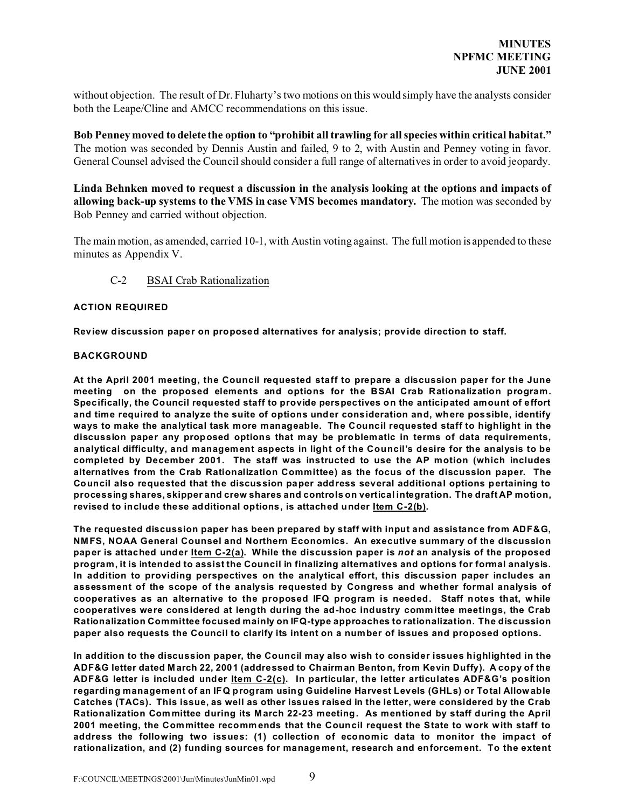without objection. The result of Dr. Fluharty's two motions on this would simply have the analysts consider both the Leape/Cline and AMCC recommendations on this issue.

**Bob Penney moved to delete the option to "prohibit all trawling for all species within critical habitat."** The motion was seconded by Dennis Austin and failed, 9 to 2, with Austin and Penney voting in favor. General Counsel advised the Council should consider a full range of alternatives in order to avoid jeopardy.

**Linda Behnken moved to request a discussion in the analysis looking at the options and impacts of allowing back-up systems to the VMS in case VMS becomes mandatory.** The motion was seconded by Bob Penney and carried without objection.

The main motion, as amended, carried 10-1, with Austin voting against. The full motion is appended to these minutes as Appendix V.

## C-2 BSAI Crab Rationalization

#### **ACTION REQUIRED**

**Review discussion paper on proposed alternatives for analysis; provide direction to staff.**

#### **BACKGROUND**

**At the April 2001 meeting, the Council requested staff to prepare a discussion paper for the June meeting on the proposed elements and options for the BSAI Crab Rationalization program. Specifically, the Council requested staff to provide perspectives on the anticipated amount of effort and time required to analyze the suite of options under consideration and, where possible, identify ways to make the analytical task more manageable. The Council requested staff to highlight in the discussion paper any proposed options that may be problematic in terms of data requirements, analytical difficulty, and management aspects in light of the Council's desire for the analysis to be completed by December 2001. The staff was instructed to use the AP motion (which includes alternatives from the Crab Rationalization Committee) as the focus of the discussion paper. The Council also requested that the discussion paper address several additional options pertaining to processing shares, skipper and crew shares and controls on vertical integration. The draft AP motion, revised to include these additional options, is attached under Item C-2(b).**

**The requested discussion paper has been prepared by staff with input and assistance from ADF&G, NMFS, NOAA General Counsel and Northern Economics. An executive summary of the discussion paper is attached under Item C-2(a). While the discussion paper is** *not* **an analysis of the proposed program, it is intended to assist the Council in finalizing alternatives and options for formal analysis. In addition to providing perspectives on the analytical effort, this discussion paper includes an assessment of the scope of the analysis requested by Congress and whether formal analysis of cooperatives as an alternative to the proposed IFQ program is needed. Staff notes that, while cooperatives were considered at length during the ad-hoc industry committee meetings, the Crab Rationalization Committee focused mainly on IFQ-type approaches to rationalization. The discussion paper also requests the Council to clarify its intent on a number of issues and proposed options.**

**In addition to the discussion paper, the Council may also wish to consider issues highlighted in the ADF&G letter dated M arch 22, 2001 (addressed to Chairman Benton, from Kevin Duffy). A copy of the ADF&G letter is included under Item C-2(c). In particular, the letter articulates ADF&G's position regarding management of an IFQ program using Guideline Harvest Levels (GHLs) or Total Allowable Catches (TACs). This issue, as well as other issues raised in the letter, were considered by the Crab Rationalization Committee during its March 22-23 meeting. As mentioned by staff during the April 2001 meeting, the Committee recomm ends that the Council request the State to work with staff to address the following two issues: (1) collection of economic data to monitor the impact of rationalization, and (2) funding sources for management, research and enforcement. To the extent**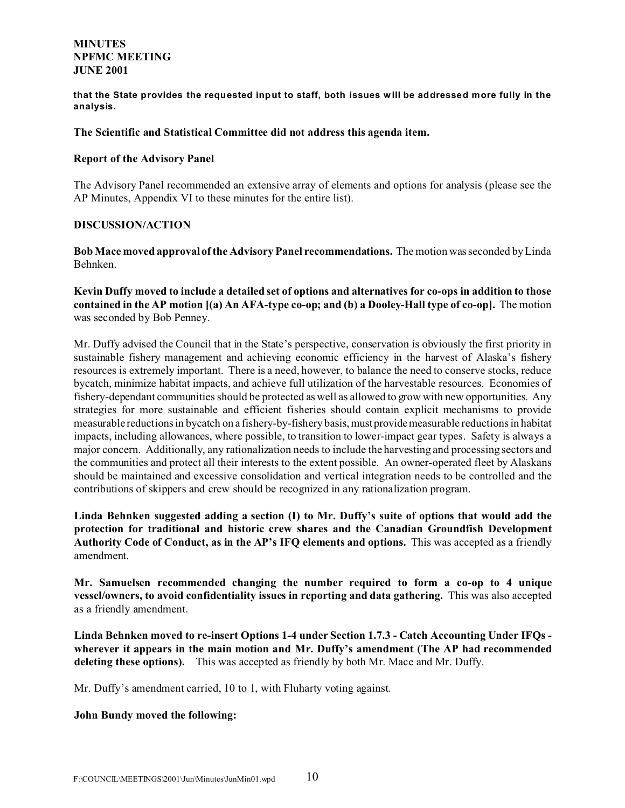**that the State provides the requested input to staff, both issues will be addressed more fully in the analysis.**

## **The Scientific and Statistical Committee did not address this agenda item.**

## **Report of the Advisory Panel**

The Advisory Panel recommended an extensive array of elements and options for analysis (please see the AP Minutes, Appendix VI to these minutes for the entire list).

# **DISCUSSION/ACTION**

**Bob Mace moved approval of the Advisory Panel recommendations.** The motion was seconded by Linda Behnken.

**Kevin Duffy moved to include a detailed set of options and alternatives for co-ops in addition to those contained in the AP motion [(a) An AFA-type co-op; and (b) a Dooley-Hall type of co-op].** The motion was seconded by Bob Penney.

Mr. Duffy advised the Council that in the State's perspective, conservation is obviously the first priority in sustainable fishery management and achieving economic efficiency in the harvest of Alaska's fishery resources is extremely important. There is a need, however, to balance the need to conserve stocks, reduce bycatch, minimize habitat impacts, and achieve full utilization of the harvestable resources. Economies of fishery-dependant communities should be protected as well as allowed to grow with new opportunities. Any strategies for more sustainable and efficient fisheries should contain explicit mechanisms to provide measurable reductions in bycatch on a fishery-by-fishery basis, must provide measurable reductions in habitat impacts, including allowances, where possible, to transition to lower-impact gear types. Safety is always a major concern. Additionally, any rationalization needs to include the harvesting and processing sectors and the communities and protect all their interests to the extent possible. An owner-operated fleet by Alaskans should be maintained and excessive consolidation and vertical integration needs to be controlled and the contributions of skippers and crew should be recognized in any rationalization program.

**Linda Behnken suggested adding a section (I) to Mr. Duffy's suite of options that would add the protection for traditional and historic crew shares and the Canadian Groundfish Development Authority Code of Conduct, as in the AP's IFQ elements and options.** This was accepted as a friendly amendment.

**Mr. Samuelsen recommended changing the number required to form a co-op to 4 unique vessel/owners, to avoid confidentiality issues in reporting and data gathering.** This was also accepted as a friendly amendment.

**Linda Behnken moved to re-insert Options 1-4 under Section 1.7.3 - Catch Accounting Under IFQs wherever it appears in the main motion and Mr. Duffy's amendment (The AP had recommended deleting these options).** This was accepted as friendly by both Mr. Mace and Mr. Duffy.

Mr. Duffy's amendment carried, 10 to 1, with Fluharty voting against.

## **John Bundy moved the following:**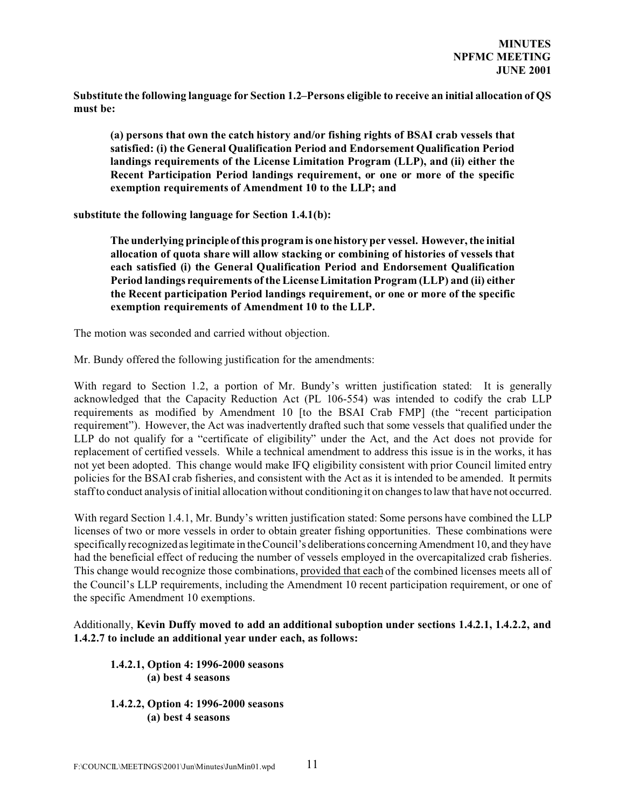**Substitute the following language for Section 1.2–Persons eligible to receive an initial allocation of QS must be:**

**(a) persons that own the catch history and/or fishing rights of BSAI crab vessels that satisfied: (i) the General Qualification Period and Endorsement Qualification Period landings requirements of the License Limitation Program (LLP), and (ii) either the Recent Participation Period landings requirement, or one or more of the specific exemption requirements of Amendment 10 to the LLP; and**

**substitute the following language for Section 1.4.1(b):** 

**The underlying principle of this program is one history per vessel. However, the initial allocation of quota share will allow stacking or combining of histories of vessels that each satisfied (i) the General Qualification Period and Endorsement Qualification Period landings requirements of the License Limitation Program (LLP) and (ii) either the Recent participation Period landings requirement, or one or more of the specific exemption requirements of Amendment 10 to the LLP.**

The motion was seconded and carried without objection.

Mr. Bundy offered the following justification for the amendments:

With regard to Section 1.2, a portion of Mr. Bundy's written justification stated: It is generally acknowledged that the Capacity Reduction Act (PL 106-554) was intended to codify the crab LLP requirements as modified by Amendment 10 [to the BSAI Crab FMP] (the "recent participation requirement"). However, the Act was inadvertently drafted such that some vessels that qualified under the LLP do not qualify for a "certificate of eligibility" under the Act, and the Act does not provide for replacement of certified vessels. While a technical amendment to address this issue is in the works, it has not yet been adopted. This change would make IFQ eligibility consistent with prior Council limited entry policies for the BSAI crab fisheries, and consistent with the Act as it is intended to be amended. It permits staff to conduct analysis of initial allocation without conditioning it on changes to law that have not occurred.

With regard Section 1.4.1, Mr. Bundy's written justification stated: Some persons have combined the LLP licenses of two or more vessels in order to obtain greater fishing opportunities. These combinations were specifically recognized as legitimate in the Council's deliberations concerning Amendment 10, and they have had the beneficial effect of reducing the number of vessels employed in the overcapitalized crab fisheries. This change would recognize those combinations, provided that each of the combined licenses meets all of the Council's LLP requirements, including the Amendment 10 recent participation requirement, or one of the specific Amendment 10 exemptions.

Additionally, **Kevin Duffy moved to add an additional suboption under sections 1.4.2.1, 1.4.2.2, and 1.4.2.7 to include an additional year under each, as follows:**

# **1.4.2.1, Option 4: 1996-2000 seasons (a) best 4 seasons**

**1.4.2.2, Option 4: 1996-2000 seasons (a) best 4 seasons**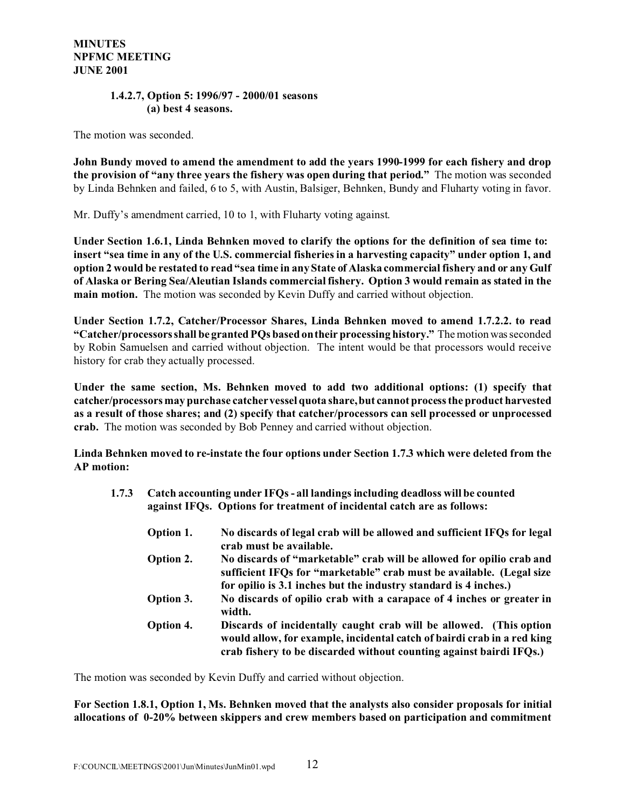# **1.4.2.7, Option 5: 1996/97 - 2000/01 seasons (a) best 4 seasons.**

The motion was seconded.

**John Bundy moved to amend the amendment to add the years 1990-1999 for each fishery and drop the provision of "any three years the fishery was open during that period."** The motion was seconded by Linda Behnken and failed, 6 to 5, with Austin, Balsiger, Behnken, Bundy and Fluharty voting in favor.

Mr. Duffy's amendment carried, 10 to 1, with Fluharty voting against.

**Under Section 1.6.1, Linda Behnken moved to clarify the options for the definition of sea time to: insert "sea time in any of the U.S. commercial fisheries in a harvesting capacity" under option 1, and option 2 would be restated to read "sea time in any State of Alaska commercial fishery and or any Gulf of Alaska or Bering Sea/Aleutian Islands commercial fishery. Option 3 would remain as stated in the main motion.** The motion was seconded by Kevin Duffy and carried without objection.

**Under Section 1.7.2, Catcher/Processor Shares, Linda Behnken moved to amend 1.7.2.2. to read "Catcher/processors shall be granted PQs based on their processing history."** The motion was seconded by Robin Samuelsen and carried without objection. The intent would be that processors would receive history for crab they actually processed.

**Under the same section, Ms. Behnken moved to add two additional options: (1) specify that catcher/processors may purchase catcher vessel quota share, but cannot process the product harvested as a result of those shares; and (2) specify that catcher/processors can sell processed or unprocessed crab.** The motion was seconded by Bob Penney and carried without objection.

**Linda Behnken moved to re-instate the four options under Section 1.7.3 which were deleted from the AP motion:**

- **1.7.3 Catch accounting under IFQs all landings including deadloss will be counted against IFQs. Options for treatment of incidental catch are as follows:**
	- **Option 1. No discards of legal crab will be allowed and sufficient IFQs for legal crab must be available. Option 2. No discards of "marketable" crab will be allowed for opilio crab and sufficient IFQs for "marketable" crab must be available. (Legal size for opilio is 3.1 inches but the industry standard is 4 inches.) Option 3. No discards of opilio crab with a carapace of 4 inches or greater in width. Option 4. Discards of incidentally caught crab will be allowed. (This option would allow, for example, incidental catch of bairdi crab in a red king crab fishery to be discarded without counting against bairdi IFQs.)**

The motion was seconded by Kevin Duffy and carried without objection.

**For Section 1.8.1, Option 1, Ms. Behnken moved that the analysts also consider proposals for initial allocations of 0-20% between skippers and crew members based on participation and commitment**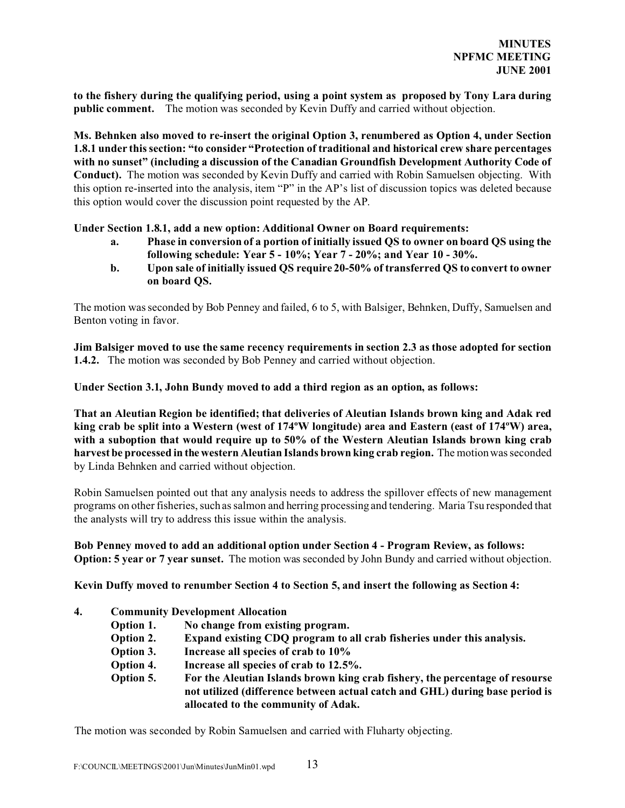**to the fishery during the qualifying period, using a point system as proposed by Tony Lara during public comment.** The motion was seconded by Kevin Duffy and carried without objection.

**Ms. Behnken also moved to re-insert the original Option 3, renumbered as Option 4, under Section 1.8.1 under this section: "to consider "Protection of traditional and historical crew share percentages with no sunset" (including a discussion of the Canadian Groundfish Development Authority Code of Conduct).** The motion was seconded by Kevin Duffy and carried with Robin Samuelsen objecting. With this option re-inserted into the analysis, item "P" in the AP's list of discussion topics was deleted because this option would cover the discussion point requested by the AP.

**Under Section 1.8.1, add a new option: Additional Owner on Board requirements:**

- **a. Phase in conversion of a portion of initially issued QS to owner on board QS using the following schedule: Year 5 - 10%; Year 7 - 20%; and Year 10 - 30%.**
- **b. Upon sale of initially issued QS require 20-50% of transferred QS to convert to owner on board QS.**

The motion was seconded by Bob Penney and failed, 6 to 5, with Balsiger, Behnken, Duffy, Samuelsen and Benton voting in favor.

**Jim Balsiger moved to use the same recency requirements in section 2.3 as those adopted for section 1.4.2.** The motion was seconded by Bob Penney and carried without objection.

**Under Section 3.1, John Bundy moved to add a third region as an option, as follows:**

**That an Aleutian Region be identified; that deliveries of Aleutian Islands brown king and Adak red king crab be split into a Western (west of 174ºW longitude) area and Eastern (east of 174ºW) area, with a suboption that would require up to 50% of the Western Aleutian Islands brown king crab harvest be processed in the western Aleutian Islands brown king crab region.** The motion was seconded by Linda Behnken and carried without objection.

Robin Samuelsen pointed out that any analysis needs to address the spillover effects of new management programs on other fisheries, such as salmon and herring processing and tendering. Maria Tsu responded that the analysts will try to address this issue within the analysis.

**Bob Penney moved to add an additional option under Section 4 - Program Review, as follows: Option: 5 year or 7 year sunset.** The motion was seconded by John Bundy and carried without objection.

**Kevin Duffy moved to renumber Section 4 to Section 5, and insert the following as Section 4:**

- **4. Community Development Allocation**
	- **Option 1. No change from existing program.**
	- **Option 2. Expand existing CDQ program to all crab fisheries under this analysis.**
	- **Option 3. Increase all species of crab to 10%**
	- **Option 4. Increase all species of crab to 12.5%.**
	- **Option 5. For the Aleutian Islands brown king crab fishery, the percentage of resourse not utilized (difference between actual catch and GHL) during base period is allocated to the community of Adak.**

The motion was seconded by Robin Samuelsen and carried with Fluharty objecting.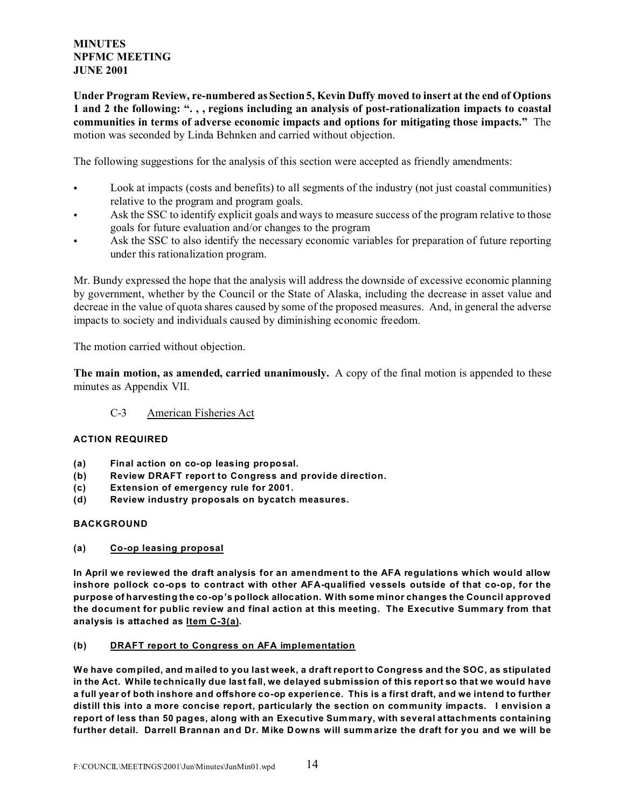**Under Program Review, re-numbered as Section 5, Kevin Duffy moved to insert at the end of Options 1 and 2 the following: ". , , regions including an analysis of post-rationalization impacts to coastal communities in terms of adverse economic impacts and options for mitigating those impacts."** The motion was seconded by Linda Behnken and carried without objection.

The following suggestions for the analysis of this section were accepted as friendly amendments:

- Look at impacts (costs and benefits) to all segments of the industry (not just coastal communities) relative to the program and program goals.
- Ask the SSC to identify explicit goals and ways to measure success of the program relative to those goals for future evaluation and/or changes to the program
- Ask the SSC to also identify the necessary economic variables for preparation of future reporting under this rationalization program.

Mr. Bundy expressed the hope that the analysis will address the downside of excessive economic planning by government, whether by the Council or the State of Alaska, including the decrease in asset value and decreae in the value of quota shares caused by some of the proposed measures. And, in general the adverse impacts to society and individuals caused by diminishing economic freedom.

The motion carried without objection.

**The main motion, as amended, carried unanimously.** A copy of the final motion is appended to these minutes as Appendix VII.

# C-3 American Fisheries Act

# **ACTION REQUIRED**

- **(a) Final action on co-op leasing proposal.**
- **(b) Review DRAFT report to Congress and provide direction.**
- **(c) Extension of emergency rule for 2001.**
- **(d) Review industry proposals on bycatch measures.**

## **BACKGROUND**

**(a) Co-op leasing proposal**

**In April we reviewed the draft analysis for an amendment to the AFA regulations which would allow inshore pollock co-ops to contract with other AFA-qualified vessels outside of that co-op, for the purpose of harvesting the co-op's pollock allocation. With some minor changes the Council approved the document for public review and final action at this meeting. The Executive Summary from that analysis is attached as Item C-3(a).**

## **(b) DRAFT report to Congress on AFA implementation**

**We have compiled, and mailed to you last week, a draft report to Congress and the SOC, as stipulated in the Act. While technically due last fall, we delayed submission of this report so that we would have a full year of both inshore and offshore co-op experience. This is a first draft, and we intend to further distill this into a more concise report, particularly the section on community impacts. I envision a report of less than 50 pages, along with an Executive Summary, with several attachments containing further detail. Darrell Brannan and Dr. Mike Downs will summ arize the draft for you and we will be**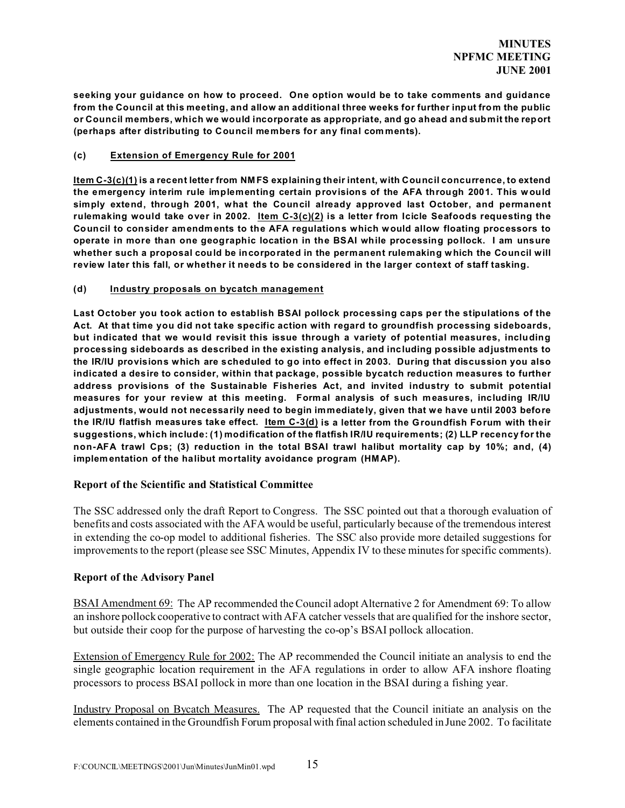**seeking your guidance on how to proceed. One option would be to take comments and guidance from the Council at this meeting, and allow an additional three weeks for further input from the public or Council members, which we would incorporate as appropriate, and go ahead and submit the report (perhaps after distributing to Council members for any final comments).** 

## **(c) Extension of Emergency Rule for 2001**

**Item C-3(c)(1) is a recent letter from NM FS explaining their intent, with Council concurrence, to extend the emergency interim rule implementing certain provisions of the AFA through 2001. This would simply extend, through 2001, what the Council already approved last October, and permanent rulemaking would take over in 2002. Item C-3(c)(2) is a letter from Icicle Seafoods requesting the Council to consider amendm ents to the AFA regulations which would allow floating processors to operate in more than one geographic location in the BSAI while processing pollock. I am unsure whether such a proposal could be incorporated in the permanent rulemaking which the Council will review later this fall, or whether it needs to be considered in the larger context of staff tasking.**

## **(d) Industry proposals on bycatch management**

**Last October you took action to establish BSAI pollock processing caps per the stipulations of the Act. At that time you did not take specific action with regard to groundfish processing sideboards, but indicated that we would revisit this issue through a variety of potential measures, including processing sideboards as described in the existing analysis, and including possible adjustments to the IR/IU provisions which are scheduled to go into effect in 2003. During that discussion you also indicated a desire to consider, within that package, possible bycatch reduction measures to further address provisions of the Sustainable Fisheries Act, and invited industry to submit potential measures for your review at this meeting. Formal analysis of such measures, including IR/IU adjustments, would not necessarily need to begin immediately, given that we have until 2003 before the IR/IU flatfish measures take effect. Item C-3(d) is a letter from the Groundfish Forum with their suggestions, which include: (1) modification of the flatfish IR/IU requirements; (2) LLP recency for the non-AFA trawl Cps; (3) reduction in the total BSAI trawl halibut mortality cap by 10%; and, (4) implementation of the halibut mortality avoidance program (HMAP).**

# **Report of the Scientific and Statistical Committee**

The SSC addressed only the draft Report to Congress. The SSC pointed out that a thorough evaluation of benefits and costs associated with the AFA would be useful, particularly because of the tremendous interest in extending the co-op model to additional fisheries. The SSC also provide more detailed suggestions for improvements to the report (please see SSC Minutes, Appendix IV to these minutes for specific comments).

## **Report of the Advisory Panel**

BSAI Amendment 69: The AP recommended the Council adopt Alternative 2 for Amendment 69: To allow an inshore pollock cooperative to contract with AFA catcher vessels that are qualified for the inshore sector, but outside their coop for the purpose of harvesting the co-op's BSAI pollock allocation.

Extension of Emergency Rule for 2002: The AP recommended the Council initiate an analysis to end the single geographic location requirement in the AFA regulations in order to allow AFA inshore floating processors to process BSAI pollock in more than one location in the BSAI during a fishing year.

Industry Proposal on Bycatch Measures. The AP requested that the Council initiate an analysis on the elements contained in the Groundfish Forum proposal with final action scheduled in June 2002. To facilitate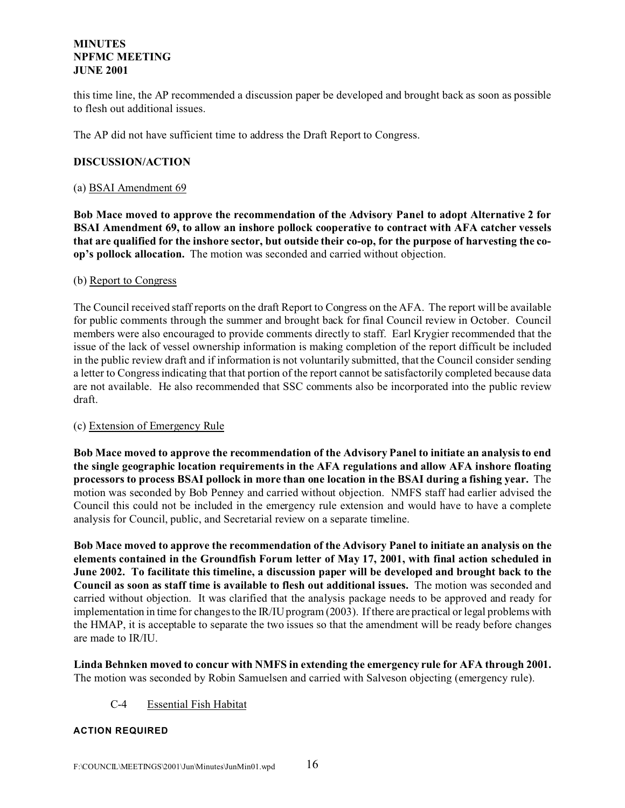this time line, the AP recommended a discussion paper be developed and brought back as soon as possible to flesh out additional issues.

The AP did not have sufficient time to address the Draft Report to Congress.

## **DISCUSSION/ACTION**

## (a) BSAI Amendment 69

**Bob Mace moved to approve the recommendation of the Advisory Panel to adopt Alternative 2 for BSAI Amendment 69, to allow an inshore pollock cooperative to contract with AFA catcher vessels that are qualified for the inshore sector, but outside their co-op, for the purpose of harvesting the coop's pollock allocation.** The motion was seconded and carried without objection.

## (b) Report to Congress

The Council received staff reports on the draft Report to Congress on the AFA. The report will be available for public comments through the summer and brought back for final Council review in October. Council members were also encouraged to provide comments directly to staff. Earl Krygier recommended that the issue of the lack of vessel ownership information is making completion of the report difficult be included in the public review draft and if information is not voluntarily submitted, that the Council consider sending a letter to Congress indicating that that portion of the report cannot be satisfactorily completed because data are not available. He also recommended that SSC comments also be incorporated into the public review draft.

# (c) Extension of Emergency Rule

**Bob Mace moved to approve the recommendation of the Advisory Panel to initiate an analysis to end the single geographic location requirements in the AFA regulations and allow AFA inshore floating processors to process BSAI pollock in more than one location in the BSAI during a fishing year.** The motion was seconded by Bob Penney and carried without objection. NMFS staff had earlier advised the Council this could not be included in the emergency rule extension and would have to have a complete analysis for Council, public, and Secretarial review on a separate timeline.

**Bob Mace moved to approve the recommendation of the Advisory Panel to initiate an analysis on the elements contained in the Groundfish Forum letter of May 17, 2001, with final action scheduled in June 2002. To facilitate this timeline, a discussion paper will be developed and brought back to the Council as soon as staff time is available to flesh out additional issues.** The motion was seconded and carried without objection. It was clarified that the analysis package needs to be approved and ready for implementation in time for changes to the IR/IU program (2003). If there are practical or legal problems with the HMAP, it is acceptable to separate the two issues so that the amendment will be ready before changes are made to IR/IU.

**Linda Behnken moved to concur with NMFS in extending the emergency rule for AFA through 2001.** The motion was seconded by Robin Samuelsen and carried with Salveson objecting (emergency rule).

# C-4 Essential Fish Habitat

## **ACTION REQUIRED**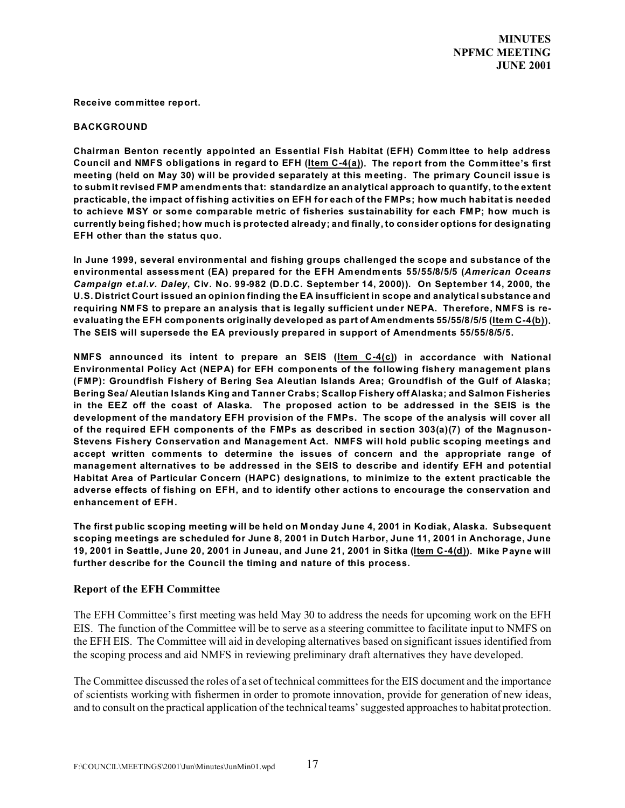**Receive committee report.**

#### **BACKGROUND**

**Chairman Benton recently appointed an Essential Fish Habitat (EFH) Committee to help address Council and NMFS obligations in regard to EFH (Item C-4(a)). The report from the Committee's first meeting (held on May 30) will be provided separately at this meeting. The primary Council issue is to subm it revised FM P amendm ents that: standardize an analytical approach to quantify, to the extent practicable, the impact of fishing activities on EFH for each of the FMPs; how much habitat is needed to achieve MSY or some comparable metric of fisheries sustainability for each FM P; how much is currently being fished; how much is protected already; and finally, to consider options for designating EFH other than the status quo.**

**In June 1999, several environmental and fishing groups challenged the scope and substance of the environmental assessment (EA) prepared for the EFH Amendm ents 55/55/8/5/5 (***American Oceans Campaign et.al.v. Daley***, Civ. No. 99-982 (D.D.C. September 14, 2000)). On September 14, 2000, the U.S. District Court issued an opinion finding the EA insufficient in scope and analytical substance and requiring NM FS to prepare an analysis that is legally sufficient under NEPA. Therefore, NMFS is reevaluating the EFH components originally developed as part of Amendments 55/55/8/5/5 (Item C-4(b)). The SEIS will supersede the EA previously prepared in support of Amendments 55/55/8/5/5.**

**NMFS announced its intent to prepare an SEIS (Item C-4(c)) in accordance with National Environmental Policy Act (NEPA) for EFH components of the following fishery management plans (FMP): Groundfish Fishery of Bering Sea Aleutian Islands Area; Groundfish of the Gulf of Alaska; Bering Sea/ Aleutian Islands King and Tanner Crabs; Scallop Fishery off Alaska; and Salmon Fisheries in the EEZ off the coast of Alaska. The proposed action to be addressed in the SEIS is the development of the mandatory EFH provision of the FMPs. The scope of the analysis will cover all of the required EFH components of the FMPs as described in section 303(a)(7) of the Magnuson-Stevens Fishery Conservation and Management Act. NMFS will hold public scoping meetings and accept written comments to determine the issues of concern and the appropriate range of management alternatives to be addressed in the SEIS to describe and identify EFH and potential Habitat Area of Particular Concern (HAPC) designations, to minimize to the extent practicable the adverse effects of fishing on EFH, and to identify other actions to encourage the conservation and enhancement of EFH.** 

**The first public scoping meeting will be held on M onday June 4, 2001 in Kodiak, Alaska. Subsequent scoping meetings are scheduled for June 8, 2001 in Dutch Harbor, June 11, 2001 in Anchorage, June 19, 2001 in Seattle, June 20, 2001 in Juneau, and June 21, 2001 in Sitka (Item C-4(d)). Mike Payne will further describe for the Council the timing and nature of this process.**

## **Report of the EFH Committee**

The EFH Committee's first meeting was held May 30 to address the needs for upcoming work on the EFH EIS. The function of the Committee will be to serve as a steering committee to facilitate input to NMFS on the EFH EIS. The Committee will aid in developing alternatives based on significant issues identified from the scoping process and aid NMFS in reviewing preliminary draft alternatives they have developed.

The Committee discussed the roles of a set of technical committees for the EIS document and the importance of scientists working with fishermen in order to promote innovation, provide for generation of new ideas, and to consult on the practical application of the technical teams' suggested approaches to habitat protection.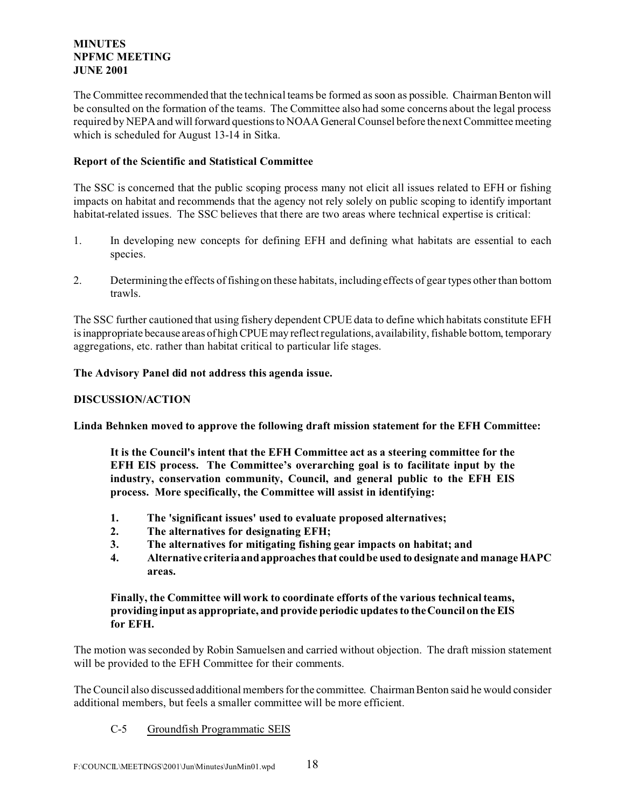The Committee recommended that the technical teams be formed as soon as possible. Chairman Benton will be consulted on the formation of the teams. The Committee also had some concerns about the legal process required by NEPA and will forward questions to NOAA General Counsel before the next Committee meeting which is scheduled for August 13-14 in Sitka.

# **Report of the Scientific and Statistical Committee**

The SSC is concerned that the public scoping process many not elicit all issues related to EFH or fishing impacts on habitat and recommends that the agency not rely solely on public scoping to identify important habitat-related issues. The SSC believes that there are two areas where technical expertise is critical:

- 1. In developing new concepts for defining EFH and defining what habitats are essential to each species.
- 2. Determining the effects of fishing on these habitats, including effects of gear types other than bottom trawls.

The SSC further cautioned that using fishery dependent CPUE data to define which habitats constitute EFH is inappropriate because areas of high CPUE may reflect regulations, availability, fishable bottom, temporary aggregations, etc. rather than habitat critical to particular life stages.

# **The Advisory Panel did not address this agenda issue.**

# **DISCUSSION/ACTION**

**Linda Behnken moved to approve the following draft mission statement for the EFH Committee:**

**It is the Council's intent that the EFH Committee act as a steering committee for the EFH EIS process. The Committee's overarching goal is to facilitate input by the industry, conservation community, Council, and general public to the EFH EIS process. More specifically, the Committee will assist in identifying:**

- **1. The 'significant issues' used to evaluate proposed alternatives;**
- **2. The alternatives for designating EFH;**
- **3. The alternatives for mitigating fishing gear impacts on habitat; and**
- **4. Alternative criteria and approaches that could be used to designate and manage HAPC areas.**

# **Finally, the Committee will work to coordinate efforts of the various technical teams, providing input as appropriate, and provide periodic updates to the Council on the EIS for EFH.**

The motion was seconded by Robin Samuelsen and carried without objection. The draft mission statement will be provided to the EFH Committee for their comments.

The Council also discussed additional members for the committee. Chairman Benton said he would consider additional members, but feels a smaller committee will be more efficient.

# C-5 Groundfish Programmatic SEIS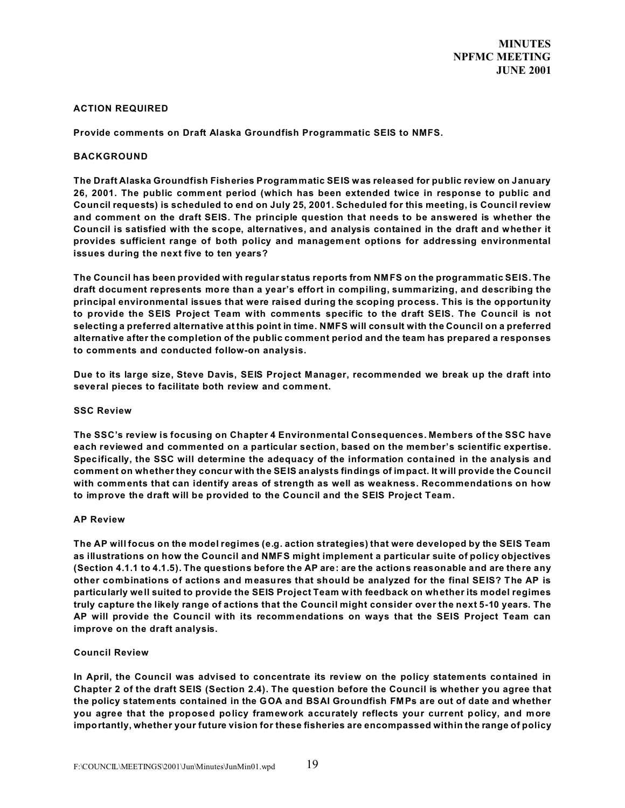#### **ACTION REQUIRED**

**Provide comments on Draft Alaska Groundfish Programmatic SEIS to NMFS.**

#### **BACKGROUND**

**The Draft Alaska Groundfish Fisheries Programmatic SEIS was released for public review on January 26, 2001. The public comment period (which has been extended twice in response to public and Council requests) is scheduled to end on July 25, 2001. Scheduled for this meeting, is Council review and comment on the draft SEIS. The principle question that needs to be answered is whether the Council is satisfied with the scope, alternatives, and analysis contained in the draft and whether it provides sufficient range of both policy and management options for addressing environmental issues during the next five to ten years?**

**The Council has been provided with regular status reports from NMFS on the programmatic SEIS. The draft document represents more than a year's effort in compiling, summarizing, and describing the principal environmental issues that were raised during the scoping process. This is the opportunity to provide the SEIS Project Team with comments specific to the draft SEIS. The Council is not selecting a preferred alternative at this point in time. NMFS will consult with the Council on a preferred alternative after the completion of the public comment period and the team has prepared a responses to comments and conducted follow-on analysis.**

**Due to its large size, Steve Davis, SEIS Project Manager, recommended we break up the draft into several pieces to facilitate both review and comment.**

#### **SSC Review**

**The SSC's review is focusing on Chapter 4 Environmental Consequences. Members of the SSC have each reviewed and commented on a particular section, based on the member's scientific expertise. Specifically, the SSC will determine the adequacy of the information contained in the analysis and comment on whether they concur with the SEIS analysts findings of impact. It will provide the Council with comments that can identify areas of strength as well as weakness. Recommendations on how to improve the draft will be provided to the Council and the SEIS Project Team.**

#### **AP Review**

**The AP will focus on the model regimes (e.g. action strategies) that were developed by the SEIS Team as illustrations on how the Council and NMFS might implement a particular suite of policy objectives (Section 4.1.1 to 4.1.5). The questions before the AP are: are the actions reasonable and are there any other combinations of actions and measures that should be analyzed for the final SEIS? The AP is particularly well suited to provide the SEIS Project Team with feedback on whether its model regimes truly capture the likely range of actions that the Council might consider over the next 5-10 years. The AP will provide the Council with its recommendations on ways that the SEIS Project Team can improve on the draft analysis.**

#### **Council Review**

**In April, the Council was advised to concentrate its review on the policy statements contained in Chapter 2 of the draft SEIS (Section 2.4). The question before the Council is whether you agree that the policy statements contained in the GOA and BSAI Groundfish FMPs are out of date and whether you agree that the proposed policy framework accurately reflects your current policy, and more importantly, whether your future vision for these fisheries are encompassed within the range of policy**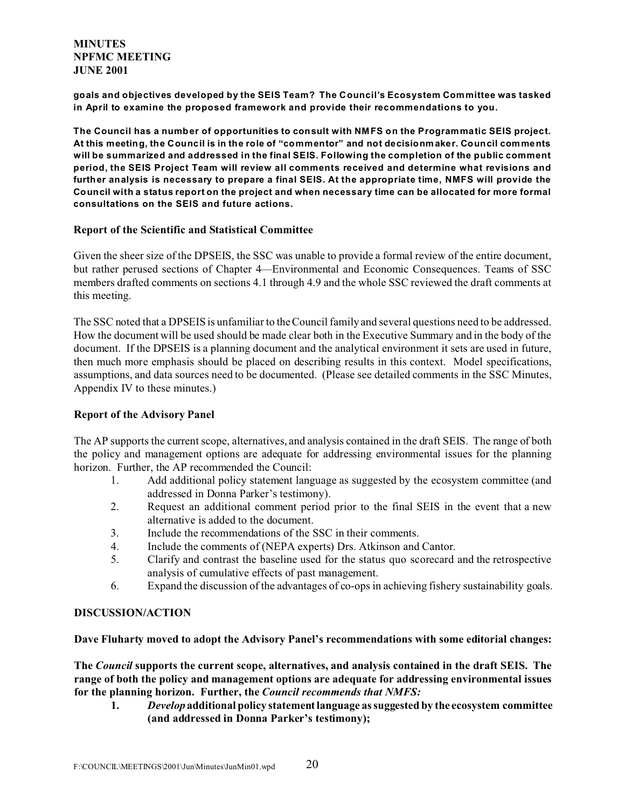**goals and objectives developed by the SEIS Team? The Council's Ecosystem Committee was tasked in April to examine the proposed framework and provide their recommendations to you.**

**The Council has a number of opportunities to consult with NMFS on the Programmatic SEIS project. At this meeting, the Council is in the role of "commentor" and not decisionmaker. Council comments will be summarized and addressed in the final SEIS. Following the completion of the public comment period, the SEIS Project Team will review all comments received and determine what revisions and further analysis is necessary to prepare a final SEIS. At the appropriate time, NMFS will provide the Council with a status report on the project and when necessary time can be allocated for more formal consultations on the SEIS and future actions.**

## **Report of the Scientific and Statistical Committee**

Given the sheer size of the DPSEIS, the SSC was unable to provide a formal review of the entire document, but rather perused sections of Chapter 4—Environmental and Economic Consequences. Teams of SSC members drafted comments on sections 4.1 through 4.9 and the whole SSC reviewed the draft comments at this meeting.

The SSC noted that a DPSEIS is unfamiliar to the Council family and several questions need to be addressed. How the document will be used should be made clear both in the Executive Summary and in the body of the document. If the DPSEIS is a planning document and the analytical environment it sets are used in future, then much more emphasis should be placed on describing results in this context. Model specifications, assumptions, and data sources need to be documented. (Please see detailed comments in the SSC Minutes, Appendix IV to these minutes.)

# **Report of the Advisory Panel**

The AP supports the current scope, alternatives, and analysis contained in the draft SEIS. The range of both the policy and management options are adequate for addressing environmental issues for the planning horizon. Further, the AP recommended the Council:

- 1. Add additional policy statement language as suggested by the ecosystem committee (and addressed in Donna Parker's testimony).
- 2. Request an additional comment period prior to the final SEIS in the event that a new alternative is added to the document.
- 3. Include the recommendations of the SSC in their comments.
- 4. Include the comments of (NEPA experts) Drs. Atkinson and Cantor.
- 5. Clarify and contrast the baseline used for the status quo scorecard and the retrospective analysis of cumulative effects of past management.
- 6. Expand the discussion of the advantages of co-ops in achieving fishery sustainability goals.

# **DISCUSSION/ACTION**

# **Dave Fluharty moved to adopt the Advisory Panel's recommendations with some editorial changes:**

**The** *Council* **supports the current scope, alternatives, and analysis contained in the draft SEIS. The range of both the policy and management options are adequate for addressing environmental issues for the planning horizon. Further, the** *Council recommends that NMFS:*

**1.** *Develop* **additional policy statement language as suggested by the ecosystem committee (and addressed in Donna Parker's testimony);**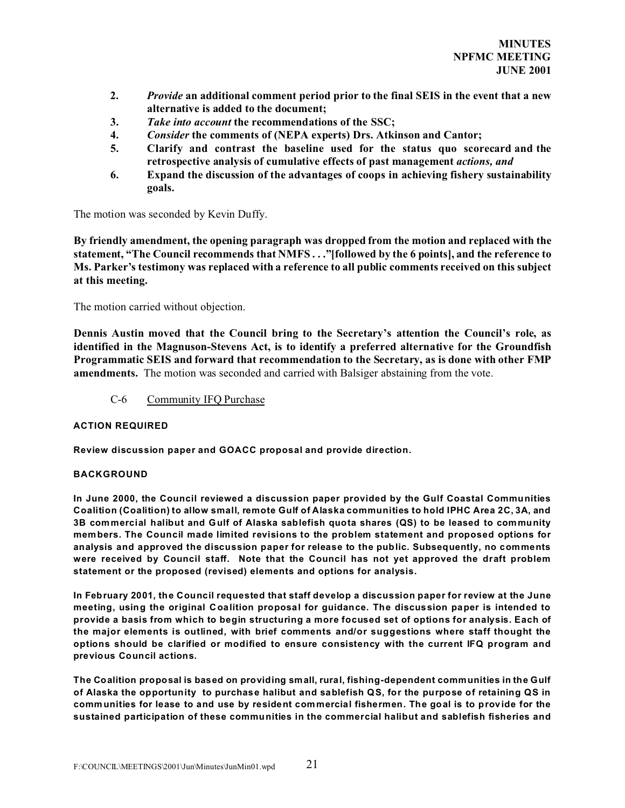- **2.** *Provide* **an additional comment period prior to the final SEIS in the event that a new alternative is added to the document;**
- **3.** *Take into account* **the recommendations of the SSC;**
- **4.** *Consider* **the comments of (NEPA experts) Drs. Atkinson and Cantor;**
- **5. Clarify and contrast the baseline used for the status quo scorecard and the retrospective analysis of cumulative effects of past management** *actions, and*
- **6. Expand the discussion of the advantages of coops in achieving fishery sustainability goals.**

The motion was seconded by Kevin Duffy.

**By friendly amendment, the opening paragraph was dropped from the motion and replaced with the statement, "The Council recommends that NMFS . . ."[followed by the 6 points], and the reference to Ms. Parker's testimony was replaced with a reference to all public comments received on this subject at this meeting.**

The motion carried without objection.

**Dennis Austin moved that the Council bring to the Secretary's attention the Council's role, as identified in the Magnuson-Stevens Act, is to identify a preferred alternative for the Groundfish Programmatic SEIS and forward that recommendation to the Secretary, as is done with other FMP amendments.** The motion was seconded and carried with Balsiger abstaining from the vote.

C-6 Community IFQ Purchase

## **ACTION REQUIRED**

**Review discussion paper and GOACC proposal and provide direction.**

## **BACKGROUND**

**In June 2000, the Council reviewed a discussion paper provided by the Gulf Coastal Communities Coalition (Coalition) to allow small, remote Gulf of Alaska communities to hold IPHC Area 2C, 3A, and 3B commercial halibut and Gulf of Alaska sablefish quota shares (QS) to be leased to community members. The Council made limited revisions to the problem statement and proposed options for analysis and approved the discussion paper for release to the public. Subsequently, no comments were received by Council staff. Note that the Council has not yet approved the draft problem statement or the proposed (revised) elements and options for analysis.**

**In February 2001, the Council requested that staff develop a discussion paper for review at the June meeting, using the original Coalition proposal for guidance. The discussion paper is intended to provide a basis from which to begin structuring a more focused set of options for analysis. Each of the major elements is outlined, with brief comments and/or suggestions where staff thought the options should be clarified or modified to ensure consistency with the current IFQ program and previous Council actions.** 

**The Coalition proposal is based on providing small, rural, fishing-dependent communities in the Gulf of Alaska the opportunity to purchase halibut and sablefish QS, for the purpose of retaining QS in communities for lease to and use by resident commercial fishermen. The goal is to provide for the sustained participation of these communities in the commercial halibut and sablefish fisheries and**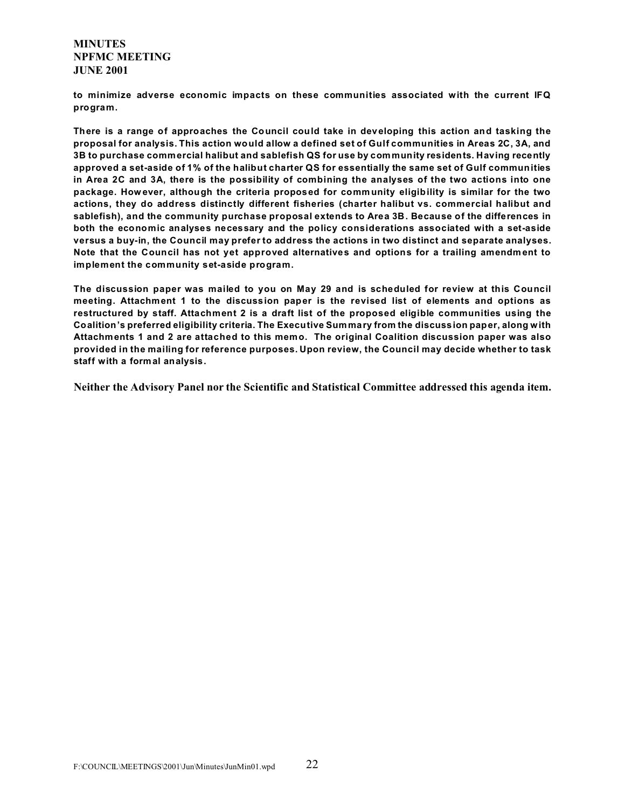**to minimize adverse economic impacts on these communities associated with the current IFQ program.**

**There is a range of approaches the Council could take in developing this action and tasking the proposal for analysis. This action would allow a defined set of Gulf communities in Areas 2C, 3A, and 3B to purchase commercial halibut and sablefish QS for use by community residents. Having recently approved a set-aside of 1% of the halibut charter QS for essentially the same set of Gulf communities in Area 2C and 3A, there is the possibility of combining the analyses of the two actions into one package. However, although the criteria proposed for comm unity eligibility is similar for the two actions, they do address distinctly different fisheries (charter halibut vs. commercial halibut and sablefish), and the community purchase proposal extends to Area 3B. Because of the differences in both the economic analyses necessary and the policy considerations associated with a set-aside versus a buy-in, the Council may prefer to address the actions in two distinct and separate analyses.** Note that the Council has not yet approved alternatives and options for a trailing amendment to **implement the community set-aside program.**

**The discussion paper was mailed to you on May 29 and is scheduled for review at this Council meeting. Attachment 1 to the discussion paper is the revised list of elements and options as restructured by staff. Attachment 2 is a draft list of the proposed eligible communities using the Coalition's preferred eligibility criteria. The Executive Summary from the discussion paper, along with Attachments 1 and 2 are attached to this memo. The original Coalition discussion paper was also provided in the mailing for reference purposes. Upon review, the Council may decide whether to task staff with a formal analysis.** 

**Neither the Advisory Panel nor the Scientific and Statistical Committee addressed this agenda item.**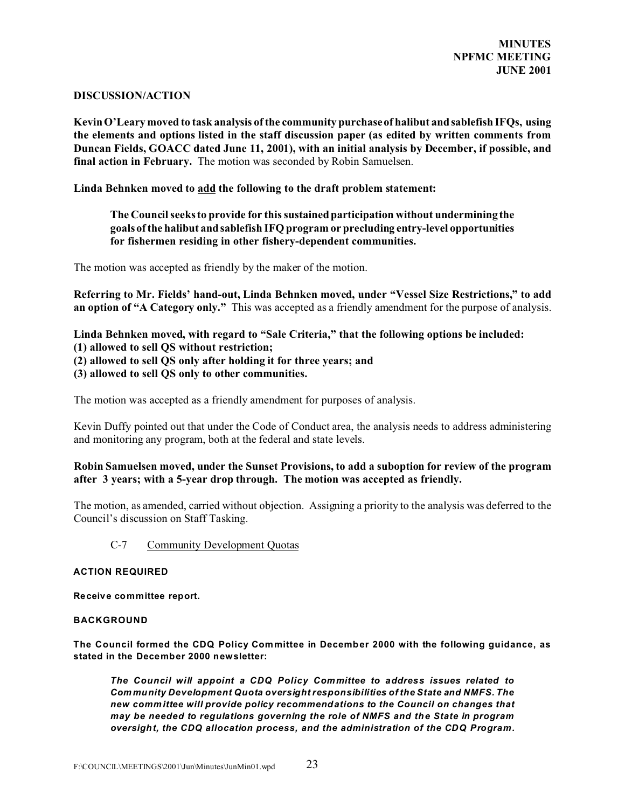## **DISCUSSION/ACTION**

**Kevin O'Leary moved to task analysis of the community purchase of halibut and sablefish IFQs, using the elements and options listed in the staff discussion paper (as edited by written comments from Duncan Fields, GOACC dated June 11, 2001), with an initial analysis by December, if possible, and final action in February.** The motion was seconded by Robin Samuelsen.

**Linda Behnken moved to add the following to the draft problem statement:**

# **The Council seeks to provide for this sustained participation without undermining the goals of the halibut and sablefish IFQ program or precluding entry-level opportunities for fishermen residing in other fishery-dependent communities.**

The motion was accepted as friendly by the maker of the motion.

**Referring to Mr. Fields' hand-out, Linda Behnken moved, under "Vessel Size Restrictions," to add an option of "A Category only."** This was accepted as a friendly amendment for the purpose of analysis.

# **Linda Behnken moved, with regard to "Sale Criteria," that the following options be included: (1) allowed to sell QS without restriction; (2) allowed to sell QS only after holding it for three years; and (3) allowed to sell QS only to other communities.**

The motion was accepted as a friendly amendment for purposes of analysis.

Kevin Duffy pointed out that under the Code of Conduct area, the analysis needs to address administering and monitoring any program, both at the federal and state levels.

# **Robin Samuelsen moved, under the Sunset Provisions, to add a suboption for review of the program after 3 years; with a 5-year drop through. The motion was accepted as friendly.**

The motion, as amended, carried without objection. Assigning a priority to the analysis was deferred to the Council's discussion on Staff Tasking.

# C-7 Community Development Quotas

## **ACTION REQUIRED**

**Receive committee report.** 

## **BACKGROUND**

**The Council formed the CDQ Policy Committee in December 2000 with the following guidance, as stated in the December 2000 newsletter:** 

*The Council will appoint a CDQ Policy Committee to address issues related to Com munity Development Quota oversight responsibilities of the State and NMFS. The new committee will provide policy recommendations to the Council on changes that may be needed to regulations governing the role of NMFS and the State in program oversight, the CDQ allocation process, and the administration of the CDQ Program.*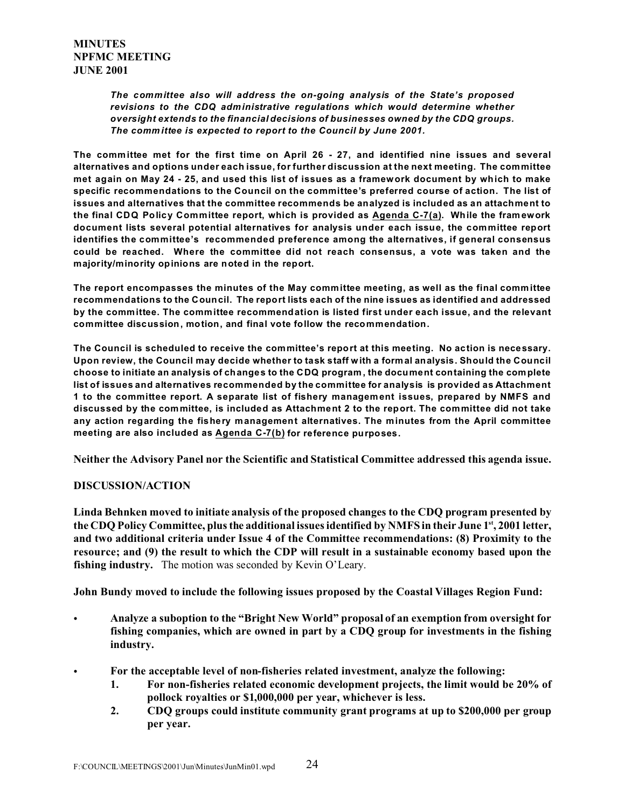*The committee also will address the on-going analysis of the State's proposed revisions to the CDQ administrative regulations which would determine whether oversight extends to the financial decisions of businesses owned by the CDQ groups. The comm ittee is expected to report to the Council by June 2001.*

**The committee met for the first time on April 26 - 27, and identified nine issues and several alternatives and options under each issue, for further discussion at the next meeting. The committee met again on May 24 - 25, and used this list of issues as a framework document by which to make specific recommendations to the Council on the committee's preferred course of action. The list of issues and alternatives that the committee recommends be analyzed is included as an attachment to the final CDQ Policy Committee report, which is provided as Agenda C-7(a). While the framework document lists several potential alternatives for analysis under each issue, the committee report identifies the committee's recommended preference among the alternatives, if general consensus could be reached. Where the committee did not reach consensus, a vote was taken and the majority/minority opinions are noted in the report.** 

**The report encompasses the minutes of the May committee meeting, as well as the final committee recommendations to the Council. The report lists each of the nine issues as identified and addressed by the committee. The committee recommendation is listed first under each issue, and the relevant committee discussion, motion, and final vote follow the recommendation.** 

**The Council is scheduled to receive the committee's report at this meeting. No action is necessary. Upon review, the Council may decide whether to task staff with a formal analysis. Should the Council choose to initiate an analysis of changes to the CDQ program , the document containing the complete list of issues and alternatives recommended by the committee for analysis is provided as Attachment 1 to the committee report. A separate list of fishery management issues, prepared by NMFS and discussed by the committee, is included as Attachment 2 to the report. The committee did not take any action regarding the fishery management alternatives. The minutes from the April committee meeting are also included as Agenda C-7(b) for reference purposes.** 

**Neither the Advisory Panel nor the Scientific and Statistical Committee addressed this agenda issue.**

# **DISCUSSION/ACTION**

**Linda Behnken moved to initiate analysis of the proposed changes to the CDQ program presented by the CDQ Policy Committee, plus the additional issues identified by NMFS in their June 1st, 2001 letter, and two additional criteria under Issue 4 of the Committee recommendations: (8) Proximity to the resource; and (9) the result to which the CDP will result in a sustainable economy based upon the fishing industry.** The motion was seconded by Kevin O'Leary.

**John Bundy moved to include the following issues proposed by the Coastal Villages Region Fund:**

- C **Analyze a suboption to the "Bright New World" proposal of an exemption from oversight for fishing companies, which are owned in part by a CDQ group for investments in the fishing industry.**
- For the acceptable level of non-fisheries related investment, analyze the following:
	- **1. For non-fisheries related economic development projects, the limit would be 20% of pollock royalties or \$1,000,000 per year, whichever is less.**
	- **2. CDQ groups could institute community grant programs at up to \$200,000 per group per year.**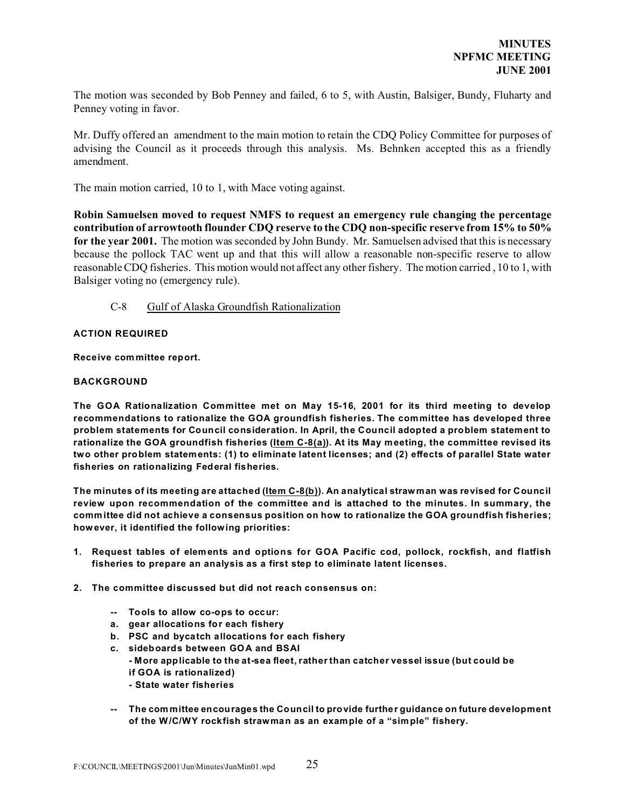The motion was seconded by Bob Penney and failed, 6 to 5, with Austin, Balsiger, Bundy, Fluharty and Penney voting in favor.

Mr. Duffy offered an amendment to the main motion to retain the CDQ Policy Committee for purposes of advising the Council as it proceeds through this analysis. Ms. Behnken accepted this as a friendly amendment.

The main motion carried, 10 to 1, with Mace voting against.

**Robin Samuelsen moved to request NMFS to request an emergency rule changing the percentage contribution of arrowtooth flounder CDQ reserve to the CDQ non-specific reserve from 15% to 50% for the year 2001.** The motion was seconded by John Bundy. Mr. Samuelsen advised that this is necessary because the pollock TAC went up and that this will allow a reasonable non-specific reserve to allow reasonable CDQ fisheries. This motion would not affect any other fishery. The motion carried , 10 to 1, with Balsiger voting no (emergency rule).

## C-8 Gulf of Alaska Groundfish Rationalization

## **ACTION REQUIRED**

#### **Receive committee report.**

#### **BACKGROUND**

**The GOA Rationalization Committee met on May 15-16, 2001 for its third meeting to develop recommendations to rationalize the GOA groundfish fisheries. The committee has developed three problem statements for Council consideration. In April, the Council adopted a problem statement to rationalize the GOA groundfish fisheries (Item C-8(a)). At its May meeting, the committee revised its two other problem statements: (1) to eliminate latent licenses; and (2) effects of parallel State water fisheries on rationalizing Federal fisheries.** 

**The minutes of its meeting are attached (Item C-8(b)). An analytical straw man was revised for Council review upon recommendation of the committee and is attached to the minutes. In summary, the committee did not achieve a consensus position on how to rationalize the GOA groundfish fisheries; however, it identified the following priorities:** 

- **1. Request tables of elements and options for GOA Pacific cod, pollock, rockfish, and flatfish fisheries to prepare an analysis as a first step to eliminate latent licenses.**
- **2. The committee discussed but did not reach consensus on:**
	- **-- Tools to allow co-ops to occur:**
	- **a. gear allocations for each fishery**
	- **b. PSC and bycatch allocations for each fishery**
	- **c. sideboards between GOA and BSAI**
		- **More applicable to the at-sea fleet, rather than catcher vessel issue (but could be if GOA is rationalized)**
			- **State water fisheries**
	- **-- The committee encourages the Council to provide further guidance on future development of the W/C/WY rockfish strawman as an example of a "simple" fishery.**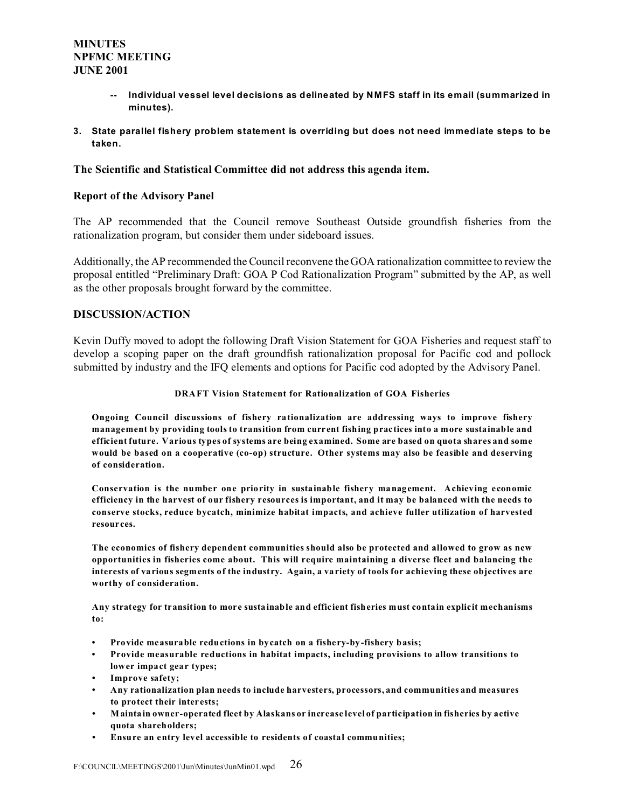- **-- Individual vessel level decisions as delineated by NMFS staff in its email (summarized in minutes).**
- **3. State parallel fishery problem statement is overriding but does not need immediate steps to be taken.**

## **The Scientific and Statistical Committee did not address this agenda item.**

## **Report of the Advisory Panel**

The AP recommended that the Council remove Southeast Outside groundfish fisheries from the rationalization program, but consider them under sideboard issues.

Additionally, the AP recommended the Council reconvene the GOA rationalization committee to review the proposal entitled "Preliminary Draft: GOA P Cod Rationalization Program" submitted by the AP, as well as the other proposals brought forward by the committee.

# **DISCUSSION/ACTION**

Kevin Duffy moved to adopt the following Draft Vision Statement for GOA Fisheries and request staff to develop a scoping paper on the draft groundfish rationalization proposal for Pacific cod and pollock submitted by industry and the IFQ elements and options for Pacific cod adopted by the Advisory Panel.

#### **DRAFT Vision Statement for Rationalization of GOA Fisheries**

**Ongoing Council discussions of fishery rationalization are addressing ways to improve fishery management by providing tools to transition from current fishing practices into a more sustainable and efficient future. Various types of systems are being examined. Some are based on quota shares and some would be based on a cooperative (co-op) structure. Other systems may also be feasible and deserving of consideration.**

**Conservation is the number one priority in sustainable fishery management. Achieving economic efficiency in the harvest of our fishery resources is important, and it may be balanced with the needs to conserve stocks, reduce bycatch, minimize habitat impacts, and achieve fuller utilization of harvested resources.**

**The economics of fishery dependent communities should also be protected and allowed to grow as new opportunities in fisheries come about. This will require maintaining a diverse fleet and balancing the interests of various segments of the industry. Again, a variety of tools for achieving these objectives are worthy of consideration.**

**Any strategy for transition to more sustainable and efficient fisheries must contain explicit mechanisms to:**

- **• Provide measurable reductions in bycatch on a fishery-by-fishery basis;**
- **• Provide measurable reductions in habitat impacts, including provisions to allow transitions to lower impact gear types;**
- **• Improve safety;**
- **• Any rationalization plan needs to include harvesters, processors, and communities and measures to protect their interests;**
- **• Maintain owner-operated fleet by Alaskans or increase level of participation in fisheries by active quota shareholders;**
- **• Ensure an entry level accessible to residents of coastal communities;**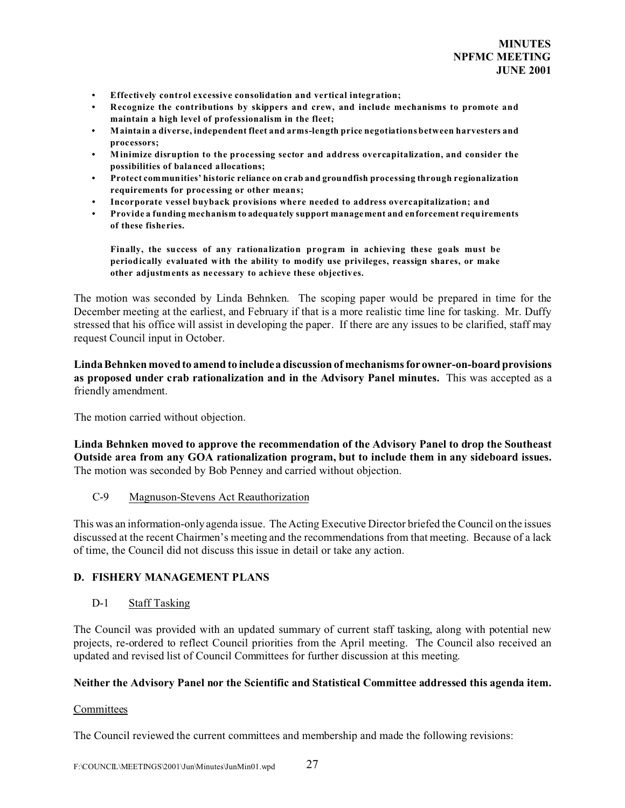- **• Effectively control excessive consolidation and vertical integration;**
- **• Recognize the contributions by skippers and crew, and include mechanisms to promote and maintain a high level of professionalism in the fleet;**
- **• Maintain a diverse, independent fleet and arms-length price negotiations between harvesters and processors;**
- **• M inimize disruption to the processing sector and address overcapitalization, and consider the possibilities of balanced allocations;**
- **• Protect communities' historic reliance on crab and groundfish processing through regionalization requirements for processing or other means;**
- **• Incorporate vessel buyback provisions where needed to address overcapitalization; and**
- **• Provide a funding mechanism to adequately support management and enforcement requirements of these fisheries.**

**Finally, the success of any rationalization program in achieving these goals must be periodically evaluated with the ability to modify use privileges, reassign shares, or make other adjustments as necessary to achieve these objectives.**

The motion was seconded by Linda Behnken. The scoping paper would be prepared in time for the December meeting at the earliest, and February if that is a more realistic time line for tasking. Mr. Duffy stressed that his office will assist in developing the paper. If there are any issues to be clarified, staff may request Council input in October.

**Linda Behnken moved to amend to include a discussion of mechanisms for owner-on-board provisions as proposed under crab rationalization and in the Advisory Panel minutes.** This was accepted as a friendly amendment.

The motion carried without objection.

**Linda Behnken moved to approve the recommendation of the Advisory Panel to drop the Southeast Outside area from any GOA rationalization program, but to include them in any sideboard issues.** The motion was seconded by Bob Penney and carried without objection.

## C-9 Magnuson-Stevens Act Reauthorization

This was an information-only agenda issue. The Acting Executive Director briefed the Council on the issues discussed at the recent Chairmen's meeting and the recommendations from that meeting. Because of a lack of time, the Council did not discuss this issue in detail or take any action.

## **D. FISHERY MANAGEMENT PLANS**

# D-1 Staff Tasking

The Council was provided with an updated summary of current staff tasking, along with potential new projects, re-ordered to reflect Council priorities from the April meeting. The Council also received an updated and revised list of Council Committees for further discussion at this meeting.

## **Neither the Advisory Panel nor the Scientific and Statistical Committee addressed this agenda item.**

## **Committees**

The Council reviewed the current committees and membership and made the following revisions: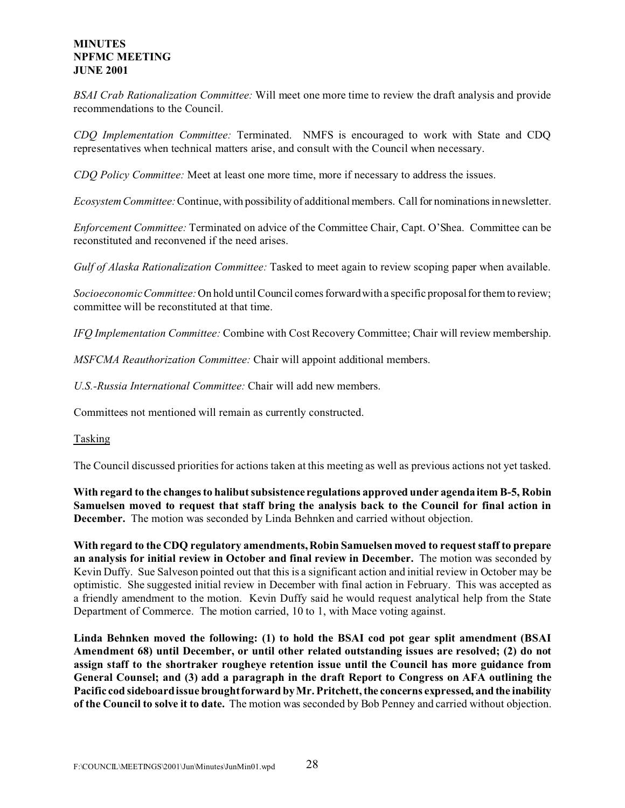*BSAI Crab Rationalization Committee:* Will meet one more time to review the draft analysis and provide recommendations to the Council.

*CDQ Implementation Committee:* Terminated. NMFS is encouraged to work with State and CDQ representatives when technical matters arise, and consult with the Council when necessary.

*CDQ Policy Committee:* Meet at least one more time, more if necessary to address the issues.

*Ecosystem Committee:* Continue, with possibility of additional members. Call for nominations in newsletter.

*Enforcement Committee:* Terminated on advice of the Committee Chair, Capt. O'Shea. Committee can be reconstituted and reconvened if the need arises.

*Gulf of Alaska Rationalization Committee:* Tasked to meet again to review scoping paper when available.

*Socioeconomic Committee:* On hold until Council comes forward with a specific proposal for them to review; committee will be reconstituted at that time.

*IFQ Implementation Committee:* Combine with Cost Recovery Committee; Chair will review membership.

*MSFCMA Reauthorization Committee:* Chair will appoint additional members.

*U.S.-Russia International Committee:* Chair will add new members.

Committees not mentioned will remain as currently constructed.

## Tasking

The Council discussed priorities for actions taken at this meeting as well as previous actions not yet tasked.

**With regard to the changes to halibut subsistence regulations approved under agenda item B-5, Robin Samuelsen moved to request that staff bring the analysis back to the Council for final action in December.** The motion was seconded by Linda Behnken and carried without objection.

**With regard to the CDQ regulatory amendments, Robin Samuelsen moved to request staff to prepare an analysis for initial review in October and final review in December.** The motion was seconded by Kevin Duffy. Sue Salveson pointed out that this is a significant action and initial review in October may be optimistic. She suggested initial review in December with final action in February. This was accepted as a friendly amendment to the motion. Kevin Duffy said he would request analytical help from the State Department of Commerce. The motion carried, 10 to 1, with Mace voting against.

**Linda Behnken moved the following: (1) to hold the BSAI cod pot gear split amendment (BSAI Amendment 68) until December, or until other related outstanding issues are resolved; (2) do not assign staff to the shortraker rougheye retention issue until the Council has more guidance from General Counsel; and (3) add a paragraph in the draft Report to Congress on AFA outlining the Pacific cod sideboard issue brought forward by Mr. Pritchett, the concerns expressed, and the inability of the Council to solve it to date.** The motion was seconded by Bob Penney and carried without objection.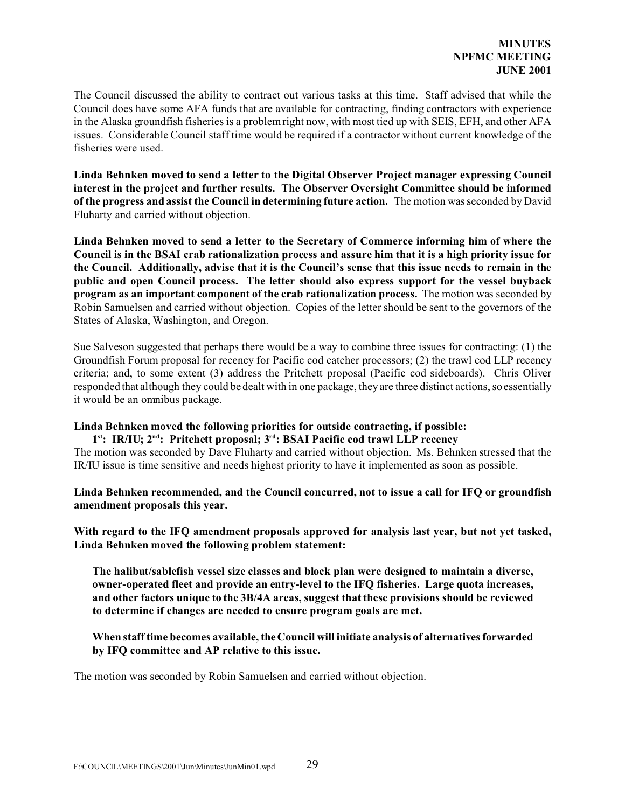The Council discussed the ability to contract out various tasks at this time. Staff advised that while the Council does have some AFA funds that are available for contracting, finding contractors with experience in the Alaska groundfish fisheries is a problem right now, with most tied up with SEIS, EFH, and other AFA issues. Considerable Council staff time would be required if a contractor without current knowledge of the fisheries were used.

**Linda Behnken moved to send a letter to the Digital Observer Project manager expressing Council interest in the project and further results. The Observer Oversight Committee should be informed of the progress and assist the Council in determining future action.** The motion was seconded by David Fluharty and carried without objection.

**Linda Behnken moved to send a letter to the Secretary of Commerce informing him of where the Council is in the BSAI crab rationalization process and assure him that it is a high priority issue for the Council. Additionally, advise that it is the Council's sense that this issue needs to remain in the public and open Council process. The letter should also express support for the vessel buyback program as an important component of the crab rationalization process.** The motion was seconded by Robin Samuelsen and carried without objection. Copies of the letter should be sent to the governors of the States of Alaska, Washington, and Oregon.

Sue Salveson suggested that perhaps there would be a way to combine three issues for contracting: (1) the Groundfish Forum proposal for recency for Pacific cod catcher processors; (2) the trawl cod LLP recency criteria; and, to some extent (3) address the Pritchett proposal (Pacific cod sideboards). Chris Oliver responded that although they could be dealt with in one package, they are three distinct actions, so essentially it would be an omnibus package.

# **Linda Behnken moved the following priorities for outside contracting, if possible:**

# **1 st: IR/IU; 2nd: Pritchett proposal; 3rd: BSAI Pacific cod trawl LLP recency**

The motion was seconded by Dave Fluharty and carried without objection. Ms. Behnken stressed that the IR/IU issue is time sensitive and needs highest priority to have it implemented as soon as possible.

**Linda Behnken recommended, and the Council concurred, not to issue a call for IFQ or groundfish amendment proposals this year.**

**With regard to the IFQ amendment proposals approved for analysis last year, but not yet tasked, Linda Behnken moved the following problem statement:**

**The halibut/sablefish vessel size classes and block plan were designed to maintain a diverse, owner-operated fleet and provide an entry-level to the IFQ fisheries. Large quota increases, and other factors unique to the 3B/4A areas, suggest that these provisions should be reviewed to determine if changes are needed to ensure program goals are met.**

**When staff time becomes available, the Council will initiate analysis of alternatives forwarded by IFQ committee and AP relative to this issue.**

The motion was seconded by Robin Samuelsen and carried without objection.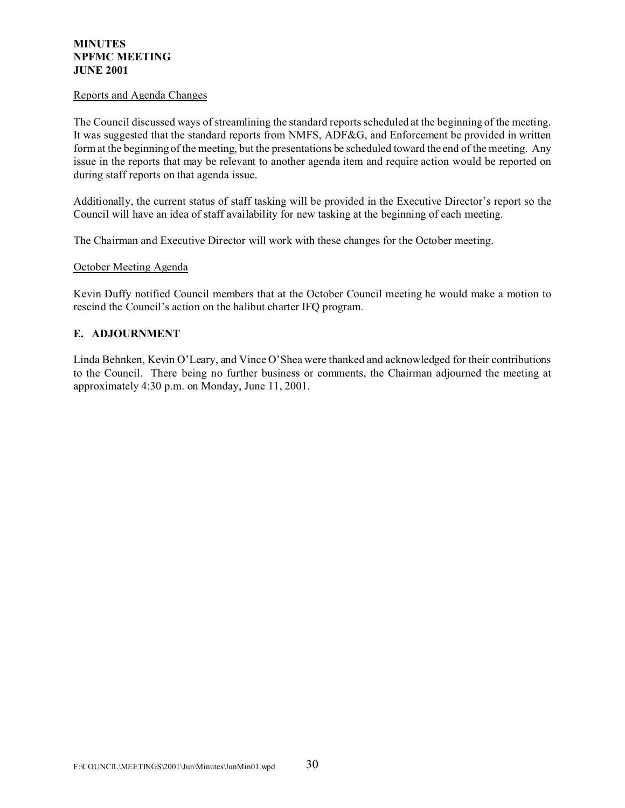## Reports and Agenda Changes

The Council discussed ways of streamlining the standard reports scheduled at the beginning of the meeting. It was suggested that the standard reports from NMFS, ADF&G, and Enforcement be provided in written form at the beginning of the meeting, but the presentations be scheduled toward the end of the meeting. Any issue in the reports that may be relevant to another agenda item and require action would be reported on during staff reports on that agenda issue.

Additionally, the current status of staff tasking will be provided in the Executive Director's report so the Council will have an idea of staff availability for new tasking at the beginning of each meeting.

The Chairman and Executive Director will work with these changes for the October meeting.

## October Meeting Agenda

Kevin Duffy notified Council members that at the October Council meeting he would make a motion to rescind the Council's action on the halibut charter IFQ program.

# **E. ADJOURNMENT**

Linda Behnken, Kevin O'Leary, and Vince O'Shea were thanked and acknowledged for their contributions to the Council. There being no further business or comments, the Chairman adjourned the meeting at approximately 4:30 p.m. on Monday, June 11, 2001.